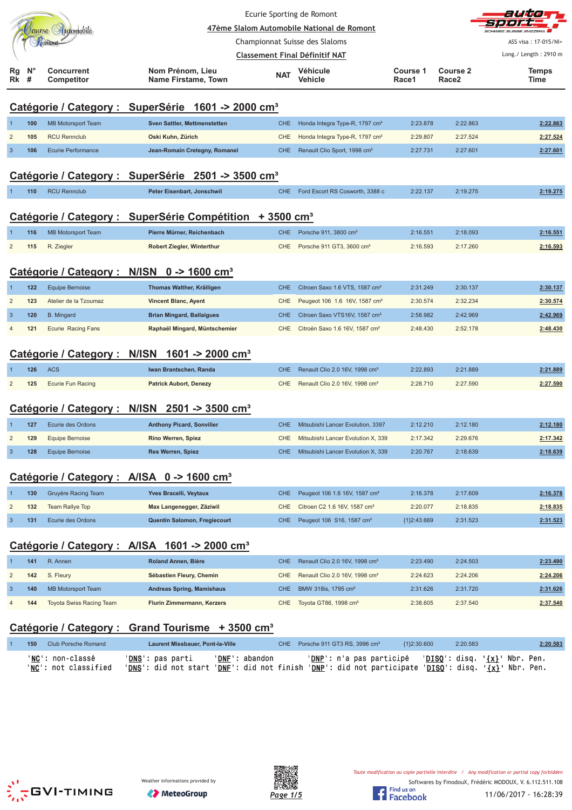|                         |                  |                                 |                                                                      | Ecurie Sporting de Romont             |                                            |                   |                                      | alskie                                 |
|-------------------------|------------------|---------------------------------|----------------------------------------------------------------------|---------------------------------------|--------------------------------------------|-------------------|--------------------------------------|----------------------------------------|
|                         |                  | Jourse Hutomobile               |                                                                      | Championnat Suisse des Slaloms        | 47ème Slalom Automobile National de Romont |                   |                                      | ASS visa: 17-015/NI+                   |
|                         |                  |                                 |                                                                      | <b>Classement Final Définitif NAT</b> |                                            |                   |                                      | Long./ Length: 2910 m                  |
| Rg<br>Rk                | $N^{\circ}$<br># | <b>Concurrent</b><br>Competitor | Nom Prénom, Lieu<br>Name Firstame, Town                              | <b>NAT</b>                            | Véhicule<br>Vehicle                        | Course 1<br>Race1 | <b>Course 2</b><br>Race <sub>2</sub> | <b>Temps</b><br>Time                   |
|                         |                  |                                 | Catégorie / Category : SuperSérie 1601 -> 2000 cm <sup>3</sup>       |                                       |                                            |                   |                                      |                                        |
|                         | 100              | <b>MB Motorsport Team</b>       | <b>Sven Sattler, Mettmenstetten</b>                                  | <b>CHE</b>                            | Honda Integra Type-R, 1797 cm <sup>3</sup> | 2:23.878          | 2:22.863                             | 2:22.863                               |
| $\overline{2}$          | 105              | <b>RCU Rennclub</b>             | Oski Kuhn, Zürich                                                    | CHE                                   | Honda Integra Type-R, 1797 cm <sup>3</sup> | 2:29.807          | 2:27.524                             | 2:27.524                               |
| 3                       | 106              | <b>Ecurie Performance</b>       | Jean-Romain Cretegny, Romanel                                        | <b>CHE</b>                            | Renault Clio Sport, 1998 cm <sup>3</sup>   | 2:27.731          | 2:27.601                             | 2:27.601                               |
|                         |                  |                                 | Catégorie / Category : SuperSérie 2501 -> 3500 cm <sup>3</sup>       |                                       |                                            |                   |                                      |                                        |
|                         | 110              | <b>RCU Rennclub</b>             | Peter Eisenbart, Jonschwil                                           | CHE.                                  | Ford Escort RS Cosworth, 3388 c            | 2:22.137          | 2:19.275                             | 2:19.275                               |
|                         |                  |                                 |                                                                      |                                       |                                            |                   |                                      |                                        |
|                         |                  |                                 | Catégorie / Category : SuperSérie Compétition + 3500 cm <sup>3</sup> |                                       |                                            |                   |                                      |                                        |
|                         | 116              | <b>MB Motorsport Team</b>       | Pierre Mürner, Reichenbach                                           | <b>CHE</b>                            | Porsche 911, 3800 cm <sup>3</sup>          | 2:16.551          | 2:18.093                             | 2:16.551                               |
| $\overline{2}$          | 115              | R. Ziegler                      | Robert Ziegler, Winterthur                                           | <b>CHE</b>                            | Porsche 911 GT3, 3600 cm <sup>3</sup>      | 2:16.593          | 2:17.260                             | 2:16.593                               |
|                         |                  |                                 | Catégorie / Category : N/ISN 0 -> 1600 cm <sup>3</sup>               |                                       |                                            |                   |                                      |                                        |
|                         | 122              | <b>Equipe Bernoise</b>          | Thomas Walther, Kräiligen                                            | <b>CHE</b>                            | Citroen Saxo 1.6 VTS, 1587 cm <sup>3</sup> | 2:31.249          | 2:30.137                             | 2:30.137                               |
| $\overline{2}$          | 123              | Atelier de la Tzoumaz           | <b>Vincent Blanc, Ayent</b>                                          | CHE                                   | Peugeot 106 1.6 16V, 1587 cm <sup>3</sup>  | 2:30.574          | 2:32.234                             | 2:30.574                               |
| 3                       | 120              | <b>B.</b> Mingard               | <b>Brian Mingard, Ballaigues</b>                                     | <b>CHE</b>                            | Citroen Saxo VTS16V, 1587 cm <sup>3</sup>  | 2:58.982          | 2:42.969                             | 2:42.969                               |
|                         | 121              | Ecurie Racing Fans              | Raphaël Mingard, Müntschemier                                        | <b>CHE</b>                            | Citroën Saxo 1.6 16V, 1587 cm <sup>3</sup> | 2:48.430          | 2:52.178                             | 2:48.430                               |
|                         |                  |                                 | Catégorie / Category : N/ISN 1601 -> 2000 cm <sup>3</sup>            |                                       |                                            |                   |                                      |                                        |
|                         | 126              | <b>ACS</b>                      | Iwan Brantschen, Randa                                               | <b>CHE</b>                            | Renault Clio 2.0 16V, 1998 cm <sup>3</sup> | 2:22.893          | 2:21.889                             | 2:21.889                               |
| $\overline{2}$          | 125              | Ecurie Fun Racing               | <b>Patrick Aubort, Denezy</b>                                        | <b>CHE</b>                            | Renault Clio 2.0 16V, 1998 cm <sup>3</sup> | 2:28.710          | 2:27.590                             | 2:27.590                               |
|                         |                  |                                 | Catégorie / Category : N/ISN 2501 -> 3500 cm <sup>3</sup>            |                                       |                                            |                   |                                      |                                        |
|                         | 127              | Ecurie des Ordons               | <b>Anthony Picard, Sonvilier</b>                                     | <b>CHE</b>                            | Mitsubishi Lancer Evolution, 3397          | 2:12.210          | 2:12.180                             | 2:12.180                               |
| $\overline{2}$          | 129              | <b>Equipe Bernoise</b>          | Rino Werren, Spiez                                                   | CHE                                   | Mitsubishi Lancer Evolution X, 339         | 2:17.342          | 2:29.676                             | 2:17.342                               |
| $\mathbf{3}$            | 128              | <b>Equipe Bernoise</b>          | <b>Res Werren, Spiez</b>                                             | <b>CHE</b>                            | Mitsubishi Lancer Evolution X, 339         | 2:20.767          | 2:18.639                             | 2:18.639                               |
|                         |                  |                                 | Catégorie / Category : A/ISA 0 -> 1600 cm <sup>3</sup>               |                                       |                                            |                   |                                      |                                        |
|                         | 130              | Gruyère Racing Team             | Yves Bracelli, Veytaux                                               | <b>CHE</b>                            | Peugeot 106 1.6 16V, 1587 cm <sup>3</sup>  | 2:16.378          | 2:17.609                             | 2:16.378                               |
| $\overline{\mathbf{c}}$ | 132              | <b>Team Rallye Top</b>          | Max Langenegger, Zäziwil                                             | CHE                                   | Citroen C2 1.6 16V, 1587 cm <sup>3</sup>   | 2:20.077          | 2:18.835                             | 2:18.835                               |
| $\mathbf{3}$            | 131              | Ecurie des Ordons               | Quentin Salomon, Fregiecourt                                         | <b>CHE</b>                            | Peugeot 106 S16, 1587 cm <sup>3</sup>      | ${1}2:43.669$     | 2:31.523                             | 2:31.523                               |
|                         |                  |                                 | Catégorie / Category : A/ISA 1601 -> 2000 cm <sup>3</sup>            |                                       |                                            |                   |                                      |                                        |
|                         | 141              | R. Annen                        | Roland Annen, Bière                                                  | <b>CHE</b>                            | Renault Clio 2.0 16V, 1998 cm <sup>3</sup> | 2:23.490          | 2:24.503                             | 2:23.490                               |
| $\overline{2}$          | 142              | S. Fleury                       | Sébastien Fleury, Chemin                                             | CHE                                   | Renault Clio 2.0 16V, 1998 cm <sup>3</sup> | 2:24.623          | 2:24.206                             | 2:24.206                               |
| $\mathbf{3}$            | 140              | <b>MB Motorsport Team</b>       | <b>Andreas Spring, Mamishaus</b>                                     | <b>CHE</b>                            | BMW 318is, 1795 cm <sup>3</sup>            | 2:31.626          | 2:31.720                             | 2:31.626                               |
|                         | 144              | Toyota Swiss Racing Team        | Flurin Zimmermann, Kerzers                                           | CHE                                   | Toyota GT86, 1998 cm <sup>3</sup>          | 2:38.605          | 2:37.540                             | 2:37.540                               |
|                         |                  |                                 | Catégorie / Category : Grand Tourisme + 3500 cm <sup>3</sup>         |                                       |                                            |                   |                                      |                                        |
|                         | 150              | <b>Club Porsche Romand</b>      | Laurent Missbauer, Pont-la-Ville                                     | <b>CHE</b>                            | Porsche 911 GT3 RS, 3996 cm <sup>3</sup>   | ${1}2:30.600$     | 2:20.583                             | 2:20.583                               |
|                         |                  | 'NC': non-classé                | ' <u>DNS</u> ': pas parti                                            | 'DNE': abandon                        | ' <u>DNP</u> ': n'a pas participé          |                   |                                      | 'DISQ': disq. ' <u>{x}</u> ' Nbr. Pen. |





'<u>NC</u>': not classified '<u>DNS</u>': did not start '<u>DNF</u>': did not finish '<u>DNP</u>': did not participate '<u>DISQ</u>': disq. '<u>{x}</u>' Nbr. Pen.

11/06/2017 - 16:28:39

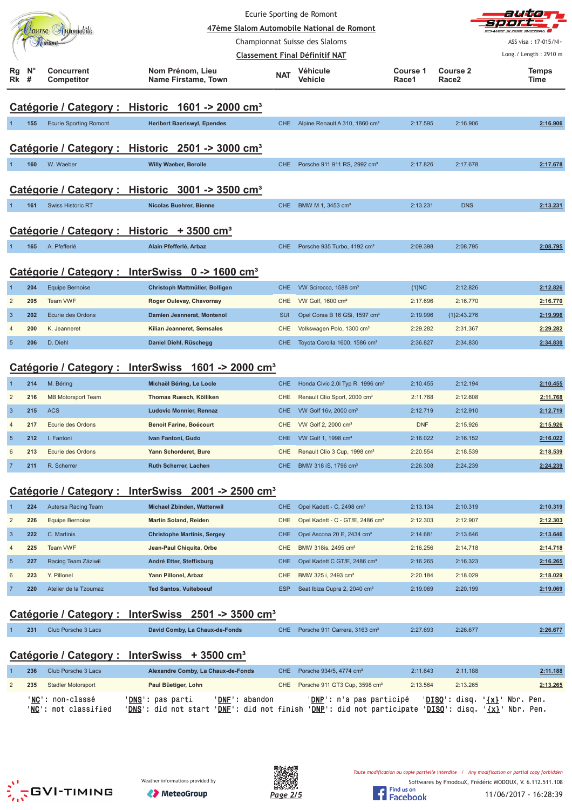|                 |                  | Tourse Automobile               |                                                                |            | Ecurie Sporting de Romont<br>47ème Slalom Automobile National de Romont |                   |                                          |                       |
|-----------------|------------------|---------------------------------|----------------------------------------------------------------|------------|-------------------------------------------------------------------------|-------------------|------------------------------------------|-----------------------|
|                 |                  | Tomont                          |                                                                |            | Championnat Suisse des Slaloms                                          |                   |                                          | ASS visa: 17-015/NI+  |
|                 |                  |                                 |                                                                |            | <b>Classement Final Définitif NAT</b>                                   |                   |                                          | Long./ Length: 2910 m |
| Rg<br><b>Rk</b> | $N^{\circ}$<br># | <b>Concurrent</b><br>Competitor | Nom Prénom, Lieu<br>Name Firstame, Town                        | <b>NAT</b> | Véhicule<br>Vehicle                                                     | Course 1<br>Race1 | Course <sub>2</sub><br>Race <sub>2</sub> | <b>Temps</b><br>Time  |
|                 |                  |                                 |                                                                |            |                                                                         |                   |                                          |                       |
|                 |                  |                                 | Catégorie / Category : Historic 1601 -> 2000 cm <sup>3</sup>   |            |                                                                         |                   |                                          |                       |
|                 | 155              | <b>Ecurie Sporting Romont</b>   | <b>Heribert Baeriswyl, Ependes</b>                             | <b>CHE</b> | Alpine Renault A 310, 1860 cm <sup>3</sup>                              | 2:17.595          | 2:16.906                                 | 2:16.906              |
|                 |                  |                                 |                                                                |            |                                                                         |                   |                                          |                       |
|                 |                  |                                 | Catégorie / Category : Historic 2501 -> 3000 cm <sup>3</sup>   |            |                                                                         |                   |                                          |                       |
|                 | 160              | W. Waeber                       | <b>Willy Waeber, Berolle</b>                                   | <b>CHE</b> | Porsche 911 911 RS, 2992 cm <sup>3</sup>                                | 2:17.826          | 2:17.678                                 | 2:17.678              |
|                 |                  |                                 | Catégorie / Category : Historic 3001 -> 3500 cm <sup>3</sup>   |            |                                                                         |                   |                                          |                       |
|                 |                  |                                 |                                                                |            |                                                                         |                   |                                          |                       |
|                 | 161              | <b>Swiss Historic RT</b>        | Nicolas Buehrer, Bienne                                        | <b>CHE</b> | BMW M 1, 3453 cm <sup>3</sup>                                           | 2:13.231          | <b>DNS</b>                               | 2:13.231              |
|                 |                  |                                 | Catégorie / Category : Historic + 3500 cm <sup>3</sup>         |            |                                                                         |                   |                                          |                       |
|                 | 165              | A. Pfefferlé                    | Alain Pfefferlé, Arbaz                                         | CHE.       | Porsche 935 Turbo, 4192 cm <sup>3</sup>                                 | 2:09.398          | 2:08.795                                 | 2:08.795              |
|                 |                  |                                 |                                                                |            |                                                                         |                   |                                          |                       |
|                 |                  |                                 | Catégorie / Category : InterSwiss 0 -> 1600 cm <sup>3</sup>    |            |                                                                         |                   |                                          |                       |
| 1               | 204              | <b>Equipe Bernoise</b>          | Christoph Mattmüller, Bolligen                                 | <b>CHE</b> | VW Scirocco, 1588 cm <sup>3</sup>                                       | ${1}NC$           | 2:12.826                                 | 2:12.826              |
| $\overline{c}$  | 205              | <b>Team VWF</b>                 | Roger Oulevay, Chavornay                                       | <b>CHE</b> | VW Golf, 1600 cm <sup>3</sup>                                           | 2:17.696          | 2:16.770                                 | 2:16.770              |
| $\mathbf{3}$    | 202              | Ecurie des Ordons               | Damien Jeannerat, Montenol                                     | <b>SUI</b> | Opel Corsa B 16 GSi, 1597 cm <sup>3</sup>                               | 2:19.996          | ${1}2:43.276$                            | 2:19.996              |
| $\overline{4}$  | 200              | K. Jeanneret                    | Kilian Jeanneret, Semsales                                     | <b>CHE</b> | Volkswagen Polo, 1300 cm <sup>3</sup>                                   | 2:29.282          | 2:31.367                                 | 2:29.282              |
| $5\phantom{.0}$ | 206              | D. Diehl                        | Daniel Diehl, Rüschegg                                         | <b>CHE</b> | Toyota Corolla 1600, 1586 cm <sup>3</sup>                               | 2:36.827          | 2:34.830                                 | 2:34.830              |
|                 |                  |                                 |                                                                |            |                                                                         |                   |                                          |                       |
|                 |                  |                                 | Catégorie / Category : InterSwiss 1601 -> 2000 cm <sup>3</sup> |            |                                                                         |                   |                                          |                       |
| $\overline{1}$  | 214              | M. Béring                       | Michaël Béring, Le Locle                                       | <b>CHE</b> | Honda Civic 2.0i Typ R, 1996 cm <sup>3</sup>                            | 2:10.455          | 2:12.194                                 | 2:10.455              |
| $\sqrt{2}$      | 216              | <b>MB Motorsport Team</b>       | Thomas Ruesch, Kölliken                                        | CHE        | Renault Clio Sport, 2000 cm <sup>3</sup>                                | 2:11.768          | 2:12.608                                 | 2:11.768              |
| $\mathbf{3}$    | 215              | <b>ACS</b>                      | <b>Ludovic Monnier, Rennaz</b>                                 | <b>CHE</b> | VW Golf 16v, 2000 cm <sup>3</sup>                                       | 2:12.719          | 2:12.910                                 | 2:12.719              |
| $\overline{4}$  | 217              | Ecurie des Ordons               | <b>Benoit Farine, Boécourt</b>                                 | <b>CHE</b> | VW Golf 2, 2000 cm <sup>3</sup>                                         | <b>DNF</b>        | 2:15.926                                 | 2:15.926              |
| $5\phantom{.0}$ | 212              | I. Fantoni                      | Ivan Fantoni, Gudo                                             | <b>CHE</b> | VW Golf 1, 1998 cm <sup>3</sup>                                         | 2:16.022          | 2:16.152                                 | 2:16.022              |
| 6               | 213              | Ecurie des Ordons               | Yann Schorderet, Bure                                          | <b>CHE</b> | Renault Clio 3 Cup, 1998 cm <sup>3</sup>                                | 2:20.554          | 2:18.539                                 | 2:18.539              |
| $\overline{7}$  | 211              | R. Scherrer                     | <b>Ruth Scherrer, Lachen</b>                                   | <b>CHE</b> | BMW 318 iS, 1796 cm <sup>3</sup>                                        | 2:26.308          | 2:24.239                                 | 2:24.239              |

#### **Catégorie / Category : InterSwiss 2001 -> 2500 cm³**

|                | 224 | Autersa Racing Team   | <b>Michael Zbinden, Wattenwil</b>  | <b>CHE</b> | Opel Kadett - C, 2498 cm <sup>3</sup>        | 2:13.134 | 2:10.319 | 2:10.319 |
|----------------|-----|-----------------------|------------------------------------|------------|----------------------------------------------|----------|----------|----------|
| 2              | 226 | Equipe Bernoise       | <b>Martin Soland, Reiden</b>       | CHE        | Opel Kadett - C - GT/E, 2486 cm <sup>3</sup> | 2:12.303 | 2:12.907 | 2:12.303 |
| $\mathbf{3}$   | 222 | C. Martinis           | <b>Christophe Martinis, Sergey</b> | CHE.       | Opel Ascona 20 E, 2434 cm <sup>3</sup>       | 2:14.681 | 2:13.646 | 2:13.646 |
| $\overline{4}$ | 225 | Team VWF              | Jean-Paul Chiquita, Orbe           | CHE.       | BMW 318is, 2495 cm <sup>3</sup>              | 2:16.256 | 2:14.718 | 2:14.718 |
| -5             | 227 | Racing Team Zäziwil   | André Etter, Steffisburg           | <b>CHE</b> | Opel Kadett C GT/E, 2486 cm <sup>3</sup>     | 2:16.265 | 2:16.323 | 2:16.265 |
| 6              | 223 | Y. Pillonel           | Yann Pillonel, Arbaz               | CHE.       | BMW 325 i. 2493 cm <sup>3</sup>              | 2:20.184 | 2:18.029 | 2:18.029 |
|                | 220 | Atelier de la Tzoumaz | <b>Ted Santos, Vuiteboeuf</b>      | <b>ESP</b> | Seat Ibiza Cupra 2, 2040 cm <sup>3</sup>     | 2:19.069 | 2:20.199 | 2:19.069 |

### **Catégorie / Category : InterSwiss 2501 -> 3500 cm³**

| 231 | Club Porsche 3 Lacs | David Comby, La Chaux-de-Fonds | CHE Porsche 911 Carrera, 3163 cm <sup>3</sup> | 2:27.693 | 2:26.677 | 2:26.677 |
|-----|---------------------|--------------------------------|-----------------------------------------------|----------|----------|----------|
|     |                     |                                |                                               |          |          |          |

### **Catégorie / Category : InterSwiss + 3500 cm³**

| 236 | Club Porsche 3 Lacs                      | Alexandre Comby, La Chaux-de-Fonds                |                                                  | CHE Porsche $934/5$ . 4774 cm <sup>3</sup>                        | 2:11.643 | 2:11.188               | 2:11.188                                                      |
|-----|------------------------------------------|---------------------------------------------------|--------------------------------------------------|-------------------------------------------------------------------|----------|------------------------|---------------------------------------------------------------|
| 235 | <b>Stadler Motorsport</b>                | Paul Büetiger, Lohn                               |                                                  | CHE Porsche 911 GT3 Cup, 3598 cm <sup>3</sup>                     | 2:13.564 | 2:13.265               | 2:13.265                                                      |
|     | 'NC': non-classé<br>'NC': not classified | ' <b>DNS</b> ': pas parti<br>'DNS': did not start | 'DNF': abandon<br>' <b>DNF</b> ': did not finish | ' <b>DNP</b> ': n'a pas participé<br>'DNP': did not participate ' |          | ' <u>DISO</u> ': disq. | $'DISO': disq. '\{x}': Nbr. Pen.$<br>' <u>{x}</u> ' Nbr. Pen. |







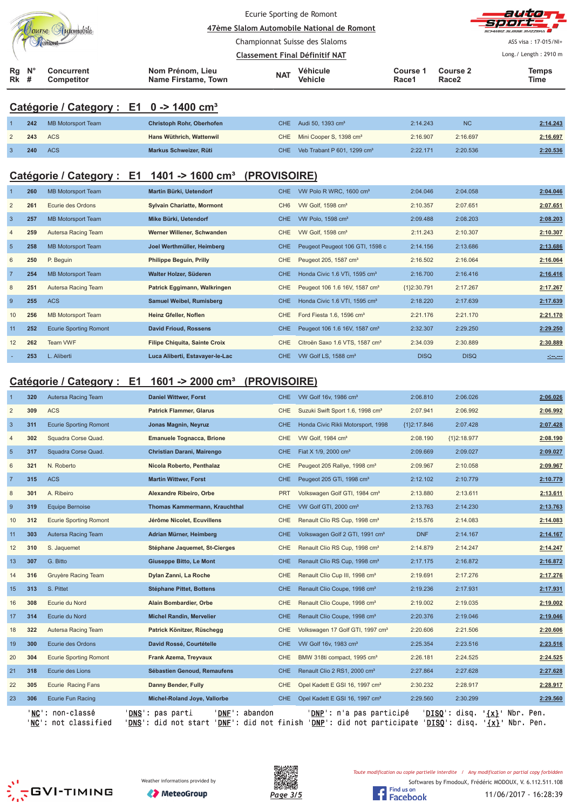|                |                  | Tourse Automobile                                   |                                                                 | Ecurie Sporting de Romont             | 47ème Slalom Automobile National de Romont                                     |                      |                                      | auto<br>S177FDA                                                                                                      |
|----------------|------------------|-----------------------------------------------------|-----------------------------------------------------------------|---------------------------------------|--------------------------------------------------------------------------------|----------------------|--------------------------------------|----------------------------------------------------------------------------------------------------------------------|
|                |                  |                                                     |                                                                 | Championnat Suisse des Slaloms        |                                                                                |                      |                                      | ASS visa: 17-015/NI+                                                                                                 |
|                |                  |                                                     |                                                                 | <b>Classement Final Définitif NAT</b> |                                                                                |                      |                                      | Long./ Length: 2910 m                                                                                                |
| Rg<br>Rk       | $N^{\circ}$<br># | <b>Concurrent</b><br>Competitor                     | Nom Prénom, Lieu<br>Name Firstame, Town                         | <b>NAT</b>                            | Véhicule<br>Vehicle                                                            | Course 1<br>Race1    | <b>Course 2</b><br>Race <sub>2</sub> | <b>Temps</b><br>Time                                                                                                 |
|                |                  | Catégorie / Category : E1 0 -> 1400 cm <sup>3</sup> |                                                                 |                                       |                                                                                |                      |                                      |                                                                                                                      |
|                | 242              | <b>MB Motorsport Team</b>                           | Christoph Rohr, Oberhofen                                       | CHE                                   | Audi 50, 1393 cm <sup>3</sup>                                                  | 2:14.243             | <b>NC</b>                            | 2:14.243                                                                                                             |
|                | 243              | <b>ACS</b>                                          | Hans Wüthrich, Wattenwil                                        | CHE                                   | Mini Cooper S, 1398 cm <sup>3</sup>                                            | 2:16.907             | 2:16.697                             | 2:16.697                                                                                                             |
| 3              | 240              | <b>ACS</b>                                          | Markus Schweizer, Rüti                                          | CHE                                   | Veb Trabant P 601, 1299 cm <sup>3</sup>                                        | 2:22.171             | 2:20.536                             | 2:20.536                                                                                                             |
|                |                  | Catégorie / Category : E1                           | 1401 -> 1600 $cm3$ (PROVISOIRE)                                 |                                       |                                                                                |                      |                                      |                                                                                                                      |
|                | 260              | <b>MB Motorsport Team</b>                           | Martin Bürki, Uetendorf                                         | CHE.                                  | VW Polo R WRC, 1600 cm <sup>3</sup>                                            | 2:04.046             | 2:04.058                             | 2:04.046                                                                                                             |
| $\overline{c}$ | 261              | Ecurie des Ordons                                   | <b>Sylvain Chariatte, Mormont</b>                               | CH <sub>6</sub>                       | VW Golf, 1598 cm <sup>3</sup>                                                  | 2:10.357             | 2:07.651                             | 2:07.651                                                                                                             |
| 3              | 257              | <b>MB Motorsport Team</b>                           | Mike Bürki, Uetendorf                                           | <b>CHE</b>                            | VW Polo, 1598 cm <sup>3</sup>                                                  | 2:09.488             | 2:08.203                             | 2:08.203                                                                                                             |
| $\overline{4}$ | 259              | Autersa Racing Team                                 | Werner Willener, Schwanden                                      | <b>CHE</b>                            | VW Golf, 1598 cm <sup>3</sup>                                                  | 2:11.243             | 2:10.307                             | 2:10.307                                                                                                             |
| $\overline{5}$ | 258              | <b>MB Motorsport Team</b>                           | Joel Werthmüller, Heimberg                                      | <b>CHE</b>                            | Peugeot Peugeot 106 GTI, 1598 c                                                | 2:14.156             | 2:13.686                             | 2:13.686                                                                                                             |
| 6              | 250              | P. Beguin                                           | <b>Philippe Beguin, Prilly</b>                                  | CHE                                   | Peugeot 205, 1587 cm <sup>3</sup>                                              | 2:16.502             | 2:16.064                             | 2:16.064                                                                                                             |
| $\overline{7}$ | 254              | <b>MB Motorsport Team</b>                           | Walter Holzer, Süderen                                          | <b>CHE</b>                            | Honda Civic 1.6 VTi, 1595 cm <sup>3</sup>                                      | 2:16.700             | 2:16.416                             | 2:16.416                                                                                                             |
| 8              | 251              | Autersa Racing Team                                 | Patrick Eggimann, Walkringen                                    | CHE                                   | Peugeot 106 1.6 16V, 1587 cm <sup>3</sup>                                      | ${1}2:30.791$        | 2:17.267                             | 2:17.267                                                                                                             |
| 9              | 255              | <b>ACS</b>                                          | <b>Samuel Weibel, Rumisberg</b>                                 | <b>CHE</b>                            | Honda Civic 1.6 VTI, 1595 cm <sup>3</sup>                                      | 2:18.220             | 2:17.639                             | 2:17.639                                                                                                             |
| 10             | 256              | <b>MB Motorsport Team</b>                           | Heinz Gfeller, Noflen                                           | <b>CHE</b>                            | Ford Fiesta 1.6, 1596 cm <sup>3</sup>                                          | 2:21.176             | 2:21.170                             | 2:21.170                                                                                                             |
| 11             | 252              | <b>Ecurie Sporting Romont</b>                       | <b>David Frioud, Rossens</b>                                    | <b>CHE</b>                            | Peugeot 106 1.6 16V, 1587 cm <sup>3</sup>                                      | 2:32.307             | 2:29.250                             | 2:29.250                                                                                                             |
| 12             | 262              | Team VWF                                            | <b>Filipe Chiquita, Sainte Croix</b>                            | CHE                                   | Citroën Saxo 1.6 VTS, 1587 cm <sup>3</sup>                                     | 2:34.039             | 2:30.889                             | 2:30.889                                                                                                             |
|                | 253              | L. Aliberti                                         | Luca Aliberti, Estavayer-le-Lac                                 | <b>CHE</b>                            | VW Golf LS, 1588 cm <sup>3</sup>                                               | <b>DISQ</b>          | <b>DISQ</b>                          | <u> - 1000 - 1000 - 1000 - 1000 - 1000 - 1000 - 1000 - 1000 - 1000 - 1000 - 1000 - 1000 - 1000 - 1000 - 1000 - 1</u> |
|                |                  |                                                     |                                                                 |                                       |                                                                                |                      |                                      |                                                                                                                      |
|                |                  | Catégorie / Category : E1                           | 1601 -> 2000 cm <sup>3</sup>                                    | (PROVISOIRE)                          |                                                                                |                      |                                      |                                                                                                                      |
|                | 320              | Autersa Racing Team                                 | <b>Daniel Wittwer, Forst</b>                                    | CHE                                   | VW Golf 16v, 1986 cm <sup>3</sup>                                              | 2:06.810             | 2:06.026                             | 2:06.026                                                                                                             |
| $\overline{2}$ | 309              | <b>ACS</b>                                          | <b>Patrick Flammer, Glarus</b>                                  | <b>CHE</b>                            | Suzuki Swift Sport 1.6, 1998 cm <sup>3</sup>                                   | 2:07.941             | 2:06.992                             | 2:06.992                                                                                                             |
| 3              | 311              | <b>Ecurie Sporting Romont</b>                       | Jonas Magnin, Neyruz                                            | CHE.                                  | Honda Civic Rikli Motorsport, 1998                                             | ${1}2:17.846$        | 2:07.428                             | 2:07.428                                                                                                             |
|                | 302              | Squadra Corse Quad.                                 | <b>Emanuele Tognacca, Brione</b>                                |                                       | CHE VW Golf, 1984 cm <sup>3</sup>                                              | 2:08.190             | ${1}2:18.977$                        | 2:08.190                                                                                                             |
| $\sqrt{5}$     | 317              | Squadra Corse Quad.                                 | Christian Darani, Mairengo                                      | CHE                                   | Fiat X 1/9, 2000 cm <sup>3</sup>                                               | 2:09.669             | 2:09.027                             | 2:09.027<br>2:09.967                                                                                                 |
| 6              | 321              | N. Roberto                                          | Nicola Roberto, Penthalaz<br><b>Martin Wittwer, Forst</b>       | CHE                                   | Peugeot 205 Rallye, 1998 cm <sup>3</sup>                                       | 2:09.967             | 2:10.058                             |                                                                                                                      |
| $\overline{7}$ | 315              | <b>ACS</b>                                          |                                                                 | <b>CHE</b>                            | Peugeot 205 GTi, 1998 cm <sup>3</sup>                                          | 2:12.102             | 2:10.779                             | 2:10.779                                                                                                             |
| 8<br>9         | 301<br>319       | A. Ribeiro<br><b>Equipe Bernoise</b>                | Alexandre Ribeiro, Orbe<br><b>Thomas Kammermann, Krauchthal</b> | <b>PRT</b>                            | Volkswagen Golf GTI, 1984 cm <sup>3</sup>                                      | 2:13.880             | 2:13.611<br>2:14.230                 | 2:13.611                                                                                                             |
| 10             | 312              | <b>Ecurie Sporting Romont</b>                       | Jérôme Nicolet, Ecuvillens                                      | <b>CHE</b><br>CHE                     | VW Golf GTI, 2000 cm <sup>3</sup><br>Renault Clio RS Cup, 1998 cm <sup>3</sup> | 2:13.763<br>2:15.576 | 2:14.083                             | 2:13.763<br>2:14.083                                                                                                 |
| 11             | 303              | Autersa Racing Team                                 | Adrian Mürner, Heimberg                                         | <b>CHE</b>                            | Volkswagen Golf 2 GTI, 1991 cm <sup>3</sup>                                    | <b>DNF</b>           | 2:14.167                             | 2:14.167                                                                                                             |
| $12$           | 310              | S. Jaquemet                                         | Stéphane Jaquemet, St-Cierges                                   | CHE                                   | Renault Clio RS Cup, 1998 cm <sup>3</sup>                                      | 2:14.879             | 2:14.247                             | 2:14.247                                                                                                             |
| 13             | 307              | G. Bitto                                            | Giuseppe Bitto, Le Mont                                         | <b>CHE</b>                            | Renault Clio RS Cup, 1998 cm <sup>3</sup>                                      | 2:17.175             | 2:16.872                             | 2:16.872                                                                                                             |
| 14             | 316              | Gruyère Racing Team                                 | Dylan Zanni, La Roche                                           | CHE                                   | Renault Clio Cup III, 1998 cm <sup>3</sup>                                     | 2:19.691             | 2:17.276                             | 2:17.276                                                                                                             |
| 15             | 313              | S. Pittet                                           | <b>Stéphane Pittet, Bottens</b>                                 | <b>CHE</b>                            | Renault Clio Coupe, 1998 cm <sup>3</sup>                                       | 2:19.236             | 2:17.931                             | 2:17.931                                                                                                             |
| 16             | 308              | Ecurie du Nord                                      | Alain Bombardier, Orbe                                          | CHE                                   | Renault Clio Coupe, 1998 cm <sup>3</sup>                                       | 2:19.002             | 2:19.035                             | 2:19.002                                                                                                             |
| 17             | 314              | Ecurie du Nord                                      | <b>Michel Randin, Mervelier</b>                                 | <b>CHE</b>                            | Renault Clio Coupe, 1998 cm <sup>3</sup>                                       | 2:20.376             | 2:19.046                             | 2:19.046                                                                                                             |
| 18             | 322              | Autersa Racing Team                                 | Patrick Könitzer, Rüschegg                                      | <b>CHE</b>                            | Volkswagen 17 Golf GTI, 1997 cm <sup>3</sup>                                   | 2:20.606             | 2:21.506                             | 2:20.606                                                                                                             |
| 19             | 300              | Ecurie des Ordons                                   | David Rossé, Courtételle                                        | CHE                                   | VW Golf 16v, 1983 cm <sup>3</sup>                                              | 2:25.354             | 2:23.516                             | 2:23.516                                                                                                             |
| 20             | 304              | <b>Ecurie Sporting Romont</b>                       | Frank Azema, Treyvaux                                           | CHE                                   | BMW 318ti compact, 1995 cm <sup>3</sup>                                        | 2:26.181             | 2:24.525                             | 2:24.525                                                                                                             |
| 21             | 318              | Ecurie des Lions                                    | Sébastien Genoud, Remaufens                                     | CHE.                                  | Renault Clio 2 RS1, 2000 cm <sup>3</sup>                                       | 2:27.864             | 2:27.628                             | 2:27.628                                                                                                             |

'<u>NC</u>': non-classé '<u>DN</u> '<u>NC</u>': not classified '<u>DN</u>



22 **305** Ecurie Racing Fans **Danny Bender, Fully** CHE Opel Kadett E GSI 16, 1997 cm³ 2:30.232 2:28.917 **2:28.917** 23 **306** Ecurie Fun Racing **Michel-Roland Joye, Vallorbe** CHE Opel Kadett E GSI 16, 1997 cm³ 2:29.560 2:30.299 **2:29.560**

<u>S</u>': pas parti '<u>DNF</u>': abandon '<u>DNP</u>': n'a pas participé '<u>DISQ</u>': disq. '<u>{x}</u>' Nbr. Pen.

<u>S</u>': did not start '<u>DNF</u>': did not finish '<u>DNP</u>': did not participate '<u>DISQ</u>': disq. '<u>{x}</u>' Nbr. Pen.

Softwares by FmodouX, Frédéric MODOUX, V. 6.112.511.108



Weather informations provided by

11/06/2017 - 16:28:39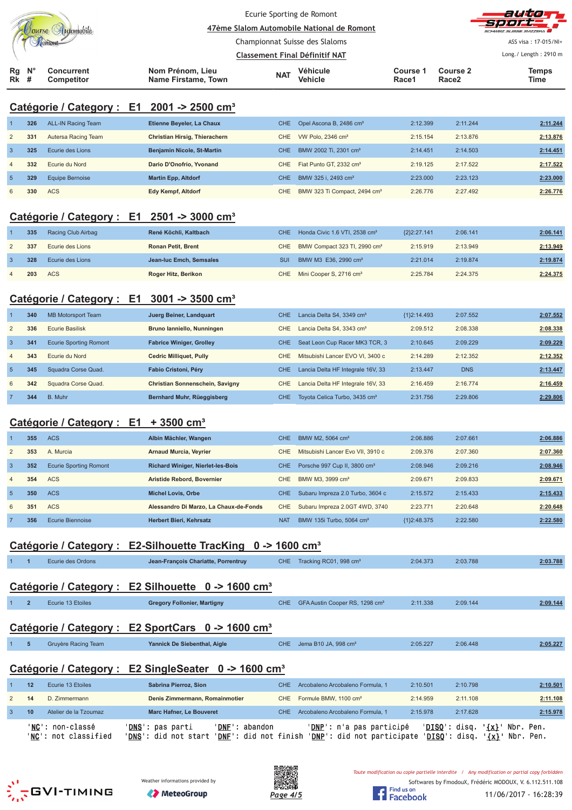|                      |                                                        |                                         | Ecurie Sporting de Romont             | 47ème Slalom Automobile National de Romont |                   |                               | auto<br>SCHWEIZ SUISSE SVIZZEDA I |
|----------------------|--------------------------------------------------------|-----------------------------------------|---------------------------------------|--------------------------------------------|-------------------|-------------------------------|-----------------------------------|
|                      |                                                        |                                         | Championnat Suisse des Slaloms        |                                            |                   |                               | ASS visa: 17-015/NI+              |
|                      |                                                        |                                         | <b>Classement Final Définitif NAT</b> |                                            |                   |                               | Long./ Length: 2910 m             |
| Rg N°<br><b>Rk</b> # | Concurrent<br>Competitor                               | Nom Prénom, Lieu<br>Name Firstame, Town | <b>NAT</b>                            | Véhicule<br>Vehicle                        | Course 1<br>Race1 | Course 2<br>Race <sub>2</sub> | <b>Temps</b><br>Time              |
|                      | Catégorie / Category : E1 2001 -> 2500 cm <sup>3</sup> |                                         |                                       |                                            |                   |                               |                                   |

|                | 326 | <b>ALL-IN Racing Team</b> | Etienne Beyeler, La Chaux         | CHE. | Opel Ascona B, 2486 cm <sup>3</sup>      | 2:12.399 | 2:11.244 | 2:11.244 |
|----------------|-----|---------------------------|-----------------------------------|------|------------------------------------------|----------|----------|----------|
| 2              | 331 | Autersa Racing Team       | Christian Hirsig, Thierachern     | CHE  | VW Polo, $2346 \text{ cm}^3$             | 2:15.154 | 2:13.876 | 2:13.876 |
|                | 325 | Ecurie des Lions          | <b>Benjamin Nicole, St-Martin</b> | CHE  | BMW 2002 Ti, 2301 cm <sup>3</sup>        | 2:14.451 | 2:14.503 | 2:14.451 |
| $\overline{4}$ | 332 | Ecurie du Nord            | Dario D'Onofrio, Yvonand          | CHE  | Fiat Punto GT, 2332 cm <sup>3</sup>      | 2:19.125 | 2:17.522 | 2:17.522 |
| 5 <sub>1</sub> | 329 | Equipe Bernoise           | <b>Martin Epp, Altdorf</b>        | CHE  | BMW 325 i. 2493 cm <sup>3</sup>          | 2:23.000 | 2:23.123 | 2:23.000 |
| 6              | 330 | <b>ACS</b>                | Edy Kempf, Altdorf                | CHE  | BMW 323 Ti Compact, 2494 cm <sup>3</sup> | 2:26.776 | 2:27.492 | 2:26.776 |

# **Catégorie / Category : E1 2501 -> 3000 cm³**

| 335 | Racing Club Airbag | René Köchli, Kaltbach     |     | CHE Honda Civic 1.6 VTI, 2538 cm <sup>3</sup> | ${232:27.141}$ | 2:06.141 | 2:06.141 |
|-----|--------------------|---------------------------|-----|-----------------------------------------------|----------------|----------|----------|
| 337 | Ecurie des Lions   | <b>Ronan Petit, Brent</b> | CHE | BMW Compact 323 TI, 2990 cm <sup>3</sup>      | 2:15.919       | 2:13.949 | 2:13.949 |
| 328 | Ecurie des Lions   | Jean-luc Emch. Semsales   | SUI | BMW M3 E36, 2990 cm <sup>3</sup>              | 2:21.014       | 2:19.874 | 2:19.874 |
| 203 | ACS                | Roger Hitz, Berikon       |     | CHE Mini Cooper S, 2716 cm <sup>3</sup>       | 2:25.784       | 2:24.375 | 2:24.375 |

# **Catégorie / Category : E1 3001 -> 3500 cm³**

|                | 340 | <b>MB Motorsport Team</b>     | Juerg Beiner, Landquart         | <b>CHE</b> | Lancia Delta S4, 3349 cm <sup>3</sup>     | ${1}2:14.493$ | 2:07.552   | 2:07.552 |
|----------------|-----|-------------------------------|---------------------------------|------------|-------------------------------------------|---------------|------------|----------|
| 2              | 336 | Ecurie Basilisk               | Bruno lanniello, Nunningen      | <b>CHE</b> | Lancia Delta S4, 3343 cm <sup>3</sup>     | 2:09.512      | 2:08.338   | 2:08.338 |
| -3             | 341 | <b>Ecurie Sporting Romont</b> | <b>Fabrice Winiger, Grolley</b> | CHE.       | Seat Leon Cup Racer MK3 TCR, 3            | 2:10.645      | 2:09.229   | 2:09.229 |
| $\overline{4}$ | 343 | Ecurie du Nord                | <b>Cedric Milliquet, Pully</b>  | <b>CHE</b> | Mitsubishi Lancer EVO VI, 3400 c          | 2:14.289      | 2:12.352   | 2:12.352 |
| $\overline{5}$ | 345 | Squadra Corse Quad.           | Fabio Cristoni, Péry            | <b>CHE</b> | Lancia Delta HF Integrale 16V, 33         | 2:13.447      | <b>DNS</b> | 2:13.447 |
| 6              | 342 | Squadra Corse Quad.           | Christian Sonnenschein, Savigny | CHE.       | Lancia Delta HF Integrale 16V, 33         | 2:16.459      | 2:16.774   | 2:16.459 |
|                | 344 | B. Muhr                       | Bernhard Muhr, Rüeggisberg      | CHE.       | Toyota Celica Turbo, 3435 cm <sup>3</sup> | 2:31.756      | 2:29.806   | 2:29.806 |

### **Catégorie / Category : E1 + 3500 cm³**

|                | 355 | <b>ACS</b>                    | Albin Mächler, Wangen                    | CHE.       | BMW M2, 5064 cm <sup>3</sup>             | 2:06.886      | 2:07.661 | 2:06.886 |
|----------------|-----|-------------------------------|------------------------------------------|------------|------------------------------------------|---------------|----------|----------|
| 2              | 353 | A. Murcia                     | <b>Arnaud Murcia, Veyrier</b>            | CHE        | Mitsubishi Lancer Evo VII, 3910 c        | 2:09.376      | 2:07.360 | 2:07.360 |
| -3             | 352 | <b>Ecurie Sporting Romont</b> | <b>Richard Winiger, Nierlet-les-Bois</b> | CHE.       | Porsche 997 Cup II, 3800 cm <sup>3</sup> | 2:08.946      | 2:09.216 | 2:08.946 |
| $\overline{4}$ | 354 | ACS                           | Aristide Rebord, Bovernier               | CHE.       | BMW M3, 3999 cm <sup>3</sup>             | 2:09.671      | 2:09.833 | 2:09.671 |
| $\overline{5}$ | 350 | <b>ACS</b>                    | <b>Michel Lovis, Orbe</b>                | CHE.       | Subaru Impreza 2.0 Turbo, 3604 c         | 2:15.572      | 2:15.433 | 2:15.433 |
| 6              | 351 | ACS                           | Alessandro Di Marzo, La Chaux-de-Fonds   | CHE.       | Subaru Impreza 2.0GT 4WD, 3740           | 2:23.771      | 2:20.648 | 2:20.648 |
|                | 356 | Ecurie Biennoise              | Herbert Bieri, Kehrsatz                  | <b>NAT</b> | BMW 135i Turbo, 5064 cm <sup>3</sup>     | ${1}2:48.375$ | 2:22.580 | 2:22.580 |

# **Catégorie / Category : E2-Silhouette TracKing 0 -> 1600 cm³**

|                |                | Ecurie des Ordons                    | Jean-François Chariatte, Porrentruy                              | <b>CHE</b> | Tracking RC01, 998 cm <sup>3</sup>         | 2:04.373 | 2:03.788 | 2:03.788 |
|----------------|----------------|--------------------------------------|------------------------------------------------------------------|------------|--------------------------------------------|----------|----------|----------|
|                |                |                                      |                                                                  |            |                                            |          |          |          |
|                |                | Catégorie / Category : E2 Silhouette | 0 -> 1600 cm <sup>3</sup>                                        |            |                                            |          |          |          |
|                | $\overline{2}$ | Ecurie 13 Etoiles                    | <b>Gregory Follonier, Martigny</b>                               | CHE.       | GFA Austin Cooper RS, 1298 cm <sup>3</sup> | 2:11.338 | 2:09.144 | 2:09.144 |
|                |                |                                      |                                                                  |            |                                            |          |          |          |
|                |                |                                      | Catégorie / Category : E2 SportCars 0 -> 1600 cm <sup>3</sup>    |            |                                            |          |          |          |
|                | 5              | Gruyère Racing Team                  | Yannick De Siebenthal, Aigle                                     | CHE.       | Jema B10 JA, 998 cm <sup>3</sup>           | 2:05.227 | 2:06.448 | 2:05.227 |
|                |                |                                      |                                                                  |            |                                            |          |          |          |
|                |                |                                      |                                                                  |            |                                            |          |          |          |
|                |                |                                      | Catégorie / Category : E2 SingleSeater 0 -> 1600 cm <sup>3</sup> |            |                                            |          |          |          |
|                | 12             | Ecurie 13 Etoiles                    | Sabrina Pierroz, Sion                                            | <b>CHE</b> | Arcobaleno Arcobaleno Formula, 1           | 2:10.501 | 2:10.798 | 2:10.501 |
| $\overline{2}$ | 14             | D. Zimmermann                        | Denis Zimmermann, Romainmotier                                   | CHE        | Formule BMW, 1100 cm <sup>3</sup>          | 2:14.959 | 2:11.108 | 2:11.108 |
| 3              | 10             | Atelier de la Tzoumaz                | Marc Hafner, Le Bouveret                                         | <b>CHE</b> | Arcobaleno Arcobaleno Formula, 1           | 2:15.978 | 2:17.628 | 2:15.978 |





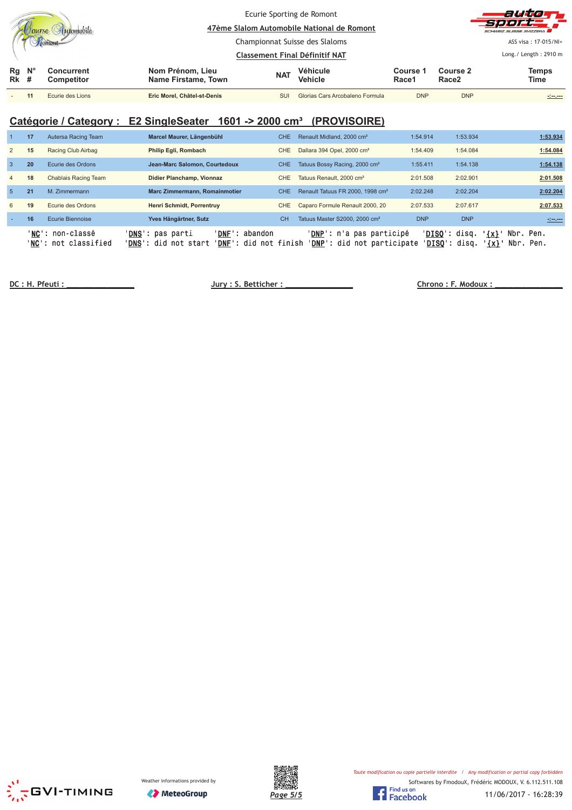|                   |             |                          |                                                       |                                | Ecurie Sporting de Romont<br>47ème Slalom Automobile National de Romont |                   |                               | auton<br><b>Sport</b><br>SCHWEIZ SUISSE SVIZZEDA |
|-------------------|-------------|--------------------------|-------------------------------------------------------|--------------------------------|-------------------------------------------------------------------------|-------------------|-------------------------------|--------------------------------------------------|
|                   |             |                          |                                                       | Championnat Suisse des Slaloms |                                                                         |                   |                               | ASS visa: 17-015/NI+                             |
|                   |             |                          |                                                       | Classement Final Définitif NAT |                                                                         |                   |                               | Long. / Length: $2910 \text{ m}$                 |
| Rg<br><b>Rk</b> # | $N^{\circ}$ | Concurrent<br>Competitor | Nom Prénom, Lieu<br><b>NAT</b><br>Name Firstame, Town |                                | <b>Véhicule</b><br>Vehicle                                              | Course 1<br>Race1 | Course 2<br>Race <sub>2</sub> | <b>Temps</b><br>Time                             |
|                   |             | Ecurie des Lions         | Eric Morel, Châtel-st-Denis                           | SUI                            | Glorias Cars Arcobaleno Formula                                         | <b>DNP</b>        | <b>DNP</b>                    | alan, ana                                        |

### Catégorie / Category : E2 SingleSeater 1601 -> 2000 cm<sup>3</sup> (PROVISOIRE)

|              | 17              | Autersa Racing Team          | Marcel Maurer, Längenbühl                                                                             | CHE.       | Renault Midland, 2000 cm <sup>3</sup>                                    | 1:54.914   | 1:53.934                                                               | 1:53.934               |
|--------------|-----------------|------------------------------|-------------------------------------------------------------------------------------------------------|------------|--------------------------------------------------------------------------|------------|------------------------------------------------------------------------|------------------------|
|              | 15              | Racing Club Airbag           | Philip Egli, Rombach                                                                                  | CHE.       | Dallara 394 Opel, 2000 cm <sup>3</sup>                                   | 1:54.409   | 1:54.084                                                               | 1:54.084               |
| $\mathbf{3}$ | 20              | Ecurie des Ordons            | Jean-Marc Salomon, Courtedoux                                                                         | <b>CHE</b> | Tatuus Bossy Racing, 2000 cm <sup>3</sup>                                | 1:55.411   | 1:54.138                                                               | 1:54.138               |
| 4            | 18              | Chablais Racing Team         | Didier Planchamp, Vionnaz                                                                             | CHE.       | Tatuus Renault, 2000 cm <sup>3</sup>                                     | 2:01.508   | 2:02.901                                                               | 2:01.508               |
| -5           | 21              | M. Zimmermann                | <b>Marc Zimmermann, Romainmotier</b>                                                                  | CHE.       | Renault Tatuus FR 2000, 1998 cm <sup>3</sup>                             | 2:02.248   | 2:02.204                                                               | 2:02.204               |
| 6            | 19              | Ecurie des Ordons            | Henri Schmidt, Porrentruy                                                                             | <b>CHE</b> | Caparo Formule Renault 2000, 20                                          | 2:07.533   | 2:07.617                                                               | 2:07.533               |
|              | 16              | Ecurie Biennoise             | Yves Hängärtner, Sutz                                                                                 | <b>CH</b>  | Tatuus Master S2000, 2000 cm <sup>3</sup>                                | <b>DNP</b> | <b>DNP</b>                                                             | <u> 1999 - 1999</u>    |
|              | 'NC':<br>'NC' : | non-classé<br>not classified | ' <b>DNS</b> ': pas parti<br>' DNF '<br>abandon<br>' <b>DNS':</b> did not start<br>' <b>DNF':</b> did | not finish | ' <b>DNP</b> ': n'a pas participé<br>' <b>DNP</b> ': did not participate |            | ' <b>DISO</b> ': disq.<br>$\{x\}$<br>' <b>DISO</b> ': disq.<br>$\{x\}$ | Nbr. Pen.<br>Nbr. Pen. |

**!"#

\$%! %!** 

 **& '**





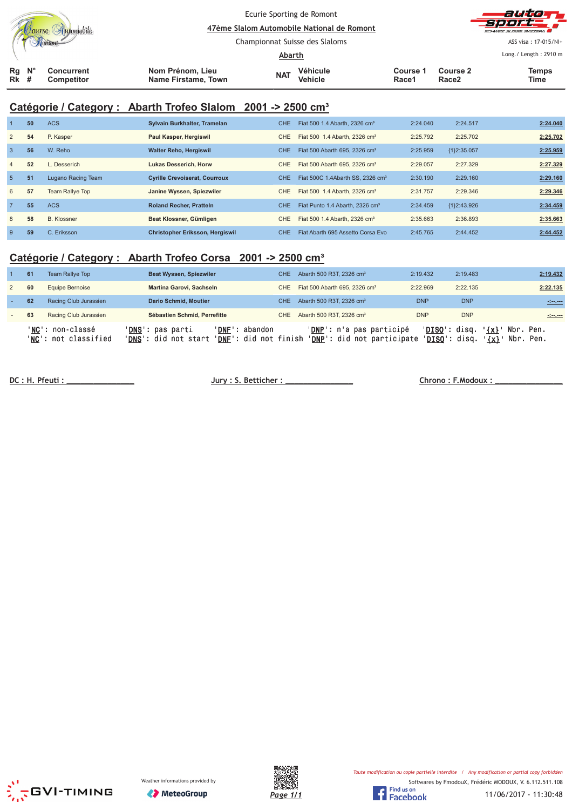|                  |  |                          |                                         |                                          |            | Ecurie Sporting de Romont<br>47ème Slalom Automobile National de Romont |          | autom<br>s e de l<br>SCHWEIZ SUISSE SVIZZERA  |                      |  |
|------------------|--|--------------------------|-----------------------------------------|------------------------------------------|------------|-------------------------------------------------------------------------|----------|-----------------------------------------------|----------------------|--|
|                  |  |                          |                                         | Championnat Suisse des Slaloms<br>Abarth |            |                                                                         |          | ASS visa: 17-015/NI+<br>Long./ Length: 2910 m |                      |  |
| $Rg$ $N^{\circ}$ |  |                          |                                         |                                          |            | Véhicule                                                                | Course 1 | Course 2                                      |                      |  |
| <b>Rk</b> #      |  | Concurrent<br>Competitor | Nom Prénom, Lieu<br>Name Firstame, Town |                                          | <b>NAT</b> | <b>Vehicle</b>                                                          | Race1    | Race <sub>2</sub>                             | <b>Temps</b><br>Time |  |

# **Catégorie / Category : Abarth Trofeo Slalom 2001 -> 2500 cm³**

|                | 50 | <b>ACS</b>         | Sylvain Burkhalter, Tramelan           | <b>CHE</b> | Fiat 500 1.4 Abarth, 2326 cm <sup>3</sup>    | 2:24.040 | 2:24.517    | 2:24.040 |
|----------------|----|--------------------|----------------------------------------|------------|----------------------------------------------|----------|-------------|----------|
| 2              | 54 | P. Kasper          | Paul Kasper, Hergiswil                 | CHE.       | Fiat 500 1.4 Abarth, 2326 cm <sup>3</sup>    | 2:25.792 | 2:25.702    | 2:25.702 |
| $\overline{3}$ | 56 | W. Reho            | <b>Walter Reho, Hergiswil</b>          | CHE.       | Fiat 500 Abarth 695, 2326 cm <sup>3</sup>    | 2:25.959 | {1}2:35.057 | 2:25.959 |
| $\overline{4}$ | 52 | Desserich          | Lukas Desserich, Horw                  | <b>CHE</b> | Fiat 500 Abarth 695, 2326 cm <sup>3</sup>    | 2:29.057 | 2:27.329    | 2:27.329 |
| 5              | 51 | Lugano Racing Team | <b>Cyrille Crevoiserat, Courroux</b>   | <b>CHE</b> | Fiat 500C 1.4Abarth SS, 2326 cm <sup>3</sup> | 2:30.190 | 2:29.160    | 2:29.160 |
| 6              | 57 | Team Rallye Top    | Janine Wyssen, Spiezwiler              | <b>CHE</b> | Fiat 500 1.4 Abarth, 2326 cm <sup>3</sup>    | 2:31.757 | 2:29.346    | 2:29.346 |
| $\overline{7}$ | 55 | <b>ACS</b>         | <b>Roland Recher, Pratteln</b>         | <b>CHE</b> | Fiat Punto 1.4 Abarth, 2326 cm <sup>3</sup>  | 2:34.459 | {1}2:43.926 | 2:34.459 |
| 8              | 58 | <b>B.</b> Klossner | Beat Klossner, Gümligen                | <b>CHE</b> | Fiat 500 1.4 Abarth, 2326 cm <sup>3</sup>    | 2:35.663 | 2:36.893    | 2:35.663 |
| -9             | 59 | C. Eriksson        | <b>Christopher Eriksson, Hergiswil</b> | <b>CHE</b> | Fiat Abarth 695 Assetto Corsa Evo            | 2:45.765 | 2:44.452    | 2:44.452 |

### **Catégorie / Category : Abarth Trofeo Corsa 2001 -> 2500 cm³**

| 61 | <b>Team Rallye Top</b>                           | <b>Beat Wyssen, Spiezwiler</b>                                                                        | CHE. | Abarth 500 R3T, 2326 cm <sup>3</sup>                            | 2:19.432   | 2:19.483                                | 2:19.432                                                         |
|----|--------------------------------------------------|-------------------------------------------------------------------------------------------------------|------|-----------------------------------------------------------------|------------|-----------------------------------------|------------------------------------------------------------------|
| 60 | Equipe Bernoise                                  | Martina Garovi, Sachseln                                                                              | CHE  | Fiat 500 Abarth 695, 2326 cm <sup>3</sup>                       | 2:22.969   | 2:22.135                                | 2:22.135                                                         |
| 62 | Racing Club Jurassien                            | <b>Dario Schmid, Moutier</b>                                                                          | CHE. | Abarth 500 R3T, 2326 cm <sup>3</sup>                            | <b>DNP</b> | <b>DNP</b>                              | <u> 1999 - 19</u>                                                |
| 63 | Racing Club Jurassien                            | Sébastien Schmid, Perrefitte                                                                          | CHE  | Abarth 500 R3T, 2326 cm <sup>3</sup>                            | <b>DNP</b> | <b>DNP</b>                              | <u>riment</u>                                                    |
|    | ' <b>NC':</b> non-classé<br>'NC': not classified | 'DNF': abandon<br>' <b>DNS</b> ': pas parti<br>'DNS': did not start<br>' <b>DNF</b> ': did not finish |      | ' <b>DNP</b> ': n'a pas participé<br>'DNP': did not participate |            | ' <u>DISQ</u> ': disq.<br>'DISO': disq. | $^{\prime}$ {x} $^{\prime}$<br>Nbr. Pen.<br>$\{x\}$<br>Nbr. Pen. |

 **!** 

 **"# \$**





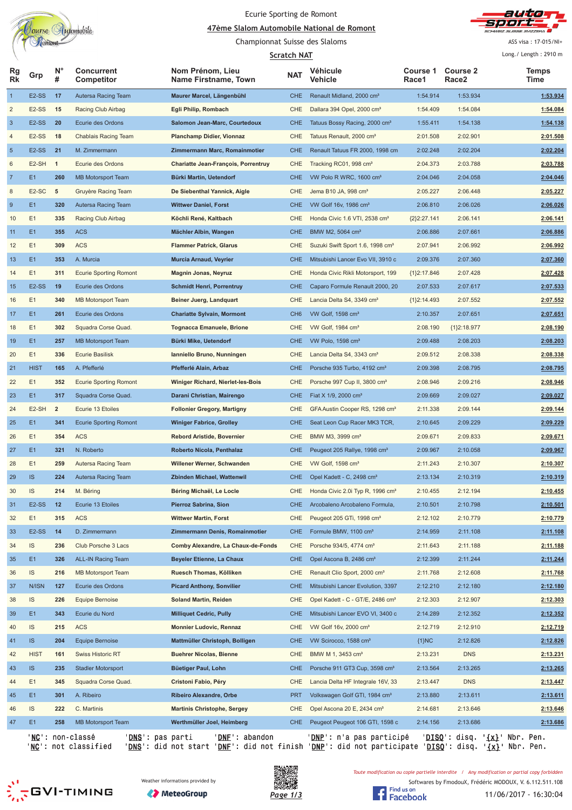

#### Ecurie Sporting de Romont

<u>A7ème Slalom Automobile National de Romont</u> Championnat Suisse des Slaloms



ASS visa: 17-015/NI+

|                |                    |                  |                                         |                                            | <b>Scratch NAT</b> |                                              |                   |                                                 | Long./ Length: 2910 m |
|----------------|--------------------|------------------|-----------------------------------------|--------------------------------------------|--------------------|----------------------------------------------|-------------------|-------------------------------------------------|-----------------------|
| Rg<br>Rk       | Grp                | $N^{\circ}$<br># | <b>Concurrent</b><br>Competitor         | Nom Prénom, Lieu<br>Name Firstname, Town   | <b>NAT</b>         | Véhicule<br>Vehicle                          | Course 1<br>Race1 | <b>Course 2</b><br>Race <sub>2</sub>            | <b>Temps</b><br>Time  |
| 1              | E <sub>2</sub> -SS | 17               | Autersa Racing Team                     | Maurer Marcel, Längenbühl                  | CHE                | Renault Midland, 2000 cm <sup>3</sup>        | 1:54.914          | 1:53.934                                        | 1:53.934              |
| 2              | E <sub>2</sub> -SS | 15               | Racing Club Airbag                      | Egli Philip, Rombach                       | CHE                | Dallara 394 Opel, 2000 cm <sup>3</sup>       | 1:54.409          | 1:54.084                                        | 1:54.084              |
| 3              | E <sub>2</sub> -SS | 20               | Ecurie des Ordons                       | Salomon Jean-Marc, Courtedoux              | <b>CHE</b>         | Tatuus Bossy Racing, 2000 cm <sup>3</sup>    | 1:55.411          | 1:54.138                                        | 1:54.138              |
| 4              | E <sub>2</sub> -SS | 18               | Chablais Racing Team                    | <b>Planchamp Didier, Vionnaz</b>           | CHE                | Tatuus Renault, 2000 cm <sup>3</sup>         | 2:01.508          | 2:02.901                                        | 2:01.508              |
| 5              | E <sub>2</sub> -SS | 21               | M. Zimmermann                           | Zimmermann Marc, Romainmotier              | <b>CHE</b>         | Renault Tatuus FR 2000, 1998 cm              | 2:02.248          | 2:02.204                                        | 2:02.204              |
| 6              | E <sub>2</sub> -SH | $\mathbf{1}$     | Ecurie des Ordons                       | <b>Chariatte Jean-François, Porrentruy</b> | CHE                | Tracking RC01, 998 cm <sup>3</sup>           | 2:04.373          | 2:03.788                                        | 2:03.788              |
| $\overline{7}$ | E <sub>1</sub>     | 260              | MB Motorsport Team                      | Bürki Martin, Uetendorf                    | <b>CHE</b>         | VW Polo R WRC, 1600 cm <sup>3</sup>          | 2:04.046          | 2:04.058                                        | 2:04.046              |
| 8              | E <sub>2</sub> -SC | $\sqrt{5}$       | Gruyère Racing Team                     | De Siebenthal Yannick, Aigle               | <b>CHE</b>         | Jema B10 JA, 998 cm <sup>3</sup>             | 2:05.227          | 2:06.448                                        | 2:05.227              |
| 9              | E <sub>1</sub>     | 320              | Autersa Racing Team                     | <b>Wittwer Daniel, Forst</b>               | <b>CHE</b>         | VW Golf 16v, 1986 cm <sup>3</sup>            | 2:06.810          | 2:06.026                                        | 2:06.026              |
| 10             | E1                 | 335              | Racing Club Airbag                      | Köchli René, Kaltbach                      | <b>CHE</b>         | Honda Civic 1.6 VTI, 2538 cm <sup>3</sup>    | ${2}2:27.141$     | 2:06.141                                        | 2:06.141              |
| 11             | E <sub>1</sub>     | 355              | <b>ACS</b>                              | Mächler Albin, Wangen                      | <b>CHE</b>         | BMW M2, 5064 cm <sup>3</sup>                 | 2:06.886          | 2:07.661                                        | 2:06.886              |
| 12             | E1                 | 309              | <b>ACS</b>                              | <b>Flammer Patrick, Glarus</b>             | <b>CHE</b>         | Suzuki Swift Sport 1.6, 1998 cm <sup>3</sup> | 2:07.941          | 2:06.992                                        | 2:06.992              |
| 13             | E1                 | 353              | A. Murcia                               | <b>Murcia Arnaud, Veyrier</b>              | <b>CHE</b>         | Mitsubishi Lancer Evo VII, 3910 c            | 2:09.376          | 2:07.360                                        | 2:07.360              |
| 14             | E1                 | 311              | <b>Ecurie Sporting Romont</b>           | <b>Magnin Jonas, Neyruz</b>                | CHE                | Honda Civic Rikli Motorsport, 199            | ${1}2:17.846$     | 2:07.428                                        | 2:07.428              |
| 15             | E <sub>2</sub> -SS | 19               | Ecurie des Ordons                       | <b>Schmidt Henri, Porrentruy</b>           | <b>CHE</b>         | Caparo Formule Renault 2000, 20              | 2:07.533          | 2:07.617                                        | 2:07.533              |
| 16             | E1                 | 340              | MB Motorsport Team                      | Beiner Juerg, Landquart                    | <b>CHE</b>         | Lancia Delta S4, 3349 cm <sup>3</sup>        | ${1}2:14.493$     | 2:07.552                                        | 2:07.552              |
| 17             | E <sub>1</sub>     | 261              | Ecurie des Ordons                       | <b>Chariatte Sylvain, Mormont</b>          | CH <sub>6</sub>    | VW Golf, 1598 cm <sup>3</sup>                | 2:10.357          | 2:07.651                                        | 2:07.651              |
| 18             | E1                 | 302              | Squadra Corse Quad.                     | <b>Tognacca Emanuele, Brione</b>           | CHE                | VW Golf, 1984 cm <sup>3</sup>                | 2:08.190          | ${1}2:18.977$                                   | 2:08.190              |
| 19             | E <sub>1</sub>     | 257              | <b>MB Motorsport Team</b>               | Bürki Mike, Uetendorf                      | <b>CHE</b>         | VW Polo, 1598 cm <sup>3</sup>                | 2:09.488          | 2:08.203                                        | 2:08.203              |
| 20             | E1                 | 336              | <b>Ecurie Basilisk</b>                  | Ianniello Bruno, Nunningen                 | <b>CHE</b>         | Lancia Delta S4, 3343 cm <sup>3</sup>        | 2:09.512          | 2:08.338                                        | 2:08.338              |
| 21             | <b>HIST</b>        | 165              | A. Pfefferlé                            | Pfefferlé Alain, Arbaz                     | CHE                | Porsche 935 Turbo, 4192 cm <sup>3</sup>      | 2:09.398          | 2:08.795                                        | 2:08.795              |
| 22             | E1                 | 352              | <b>Ecurie Sporting Romont</b>           | Winiger Richard, Nierlet-les-Bois          | CHE                | Porsche 997 Cup II, 3800 cm <sup>3</sup>     | 2:08.946          | 2:09.216                                        | 2:08.946              |
| 23             | E <sub>1</sub>     | 317              | Squadra Corse Quad.                     | Darani Christian, Mairengo                 | <b>CHE</b>         | Fiat X 1/9, 2000 cm <sup>3</sup>             | 2:09.669          | 2:09.027                                        | 2:09.027              |
| 24             | E2-SH              | $\overline{2}$   | Ecurie 13 Etoiles                       | <b>Follonier Gregory, Martigny</b>         | CHE                | GFA Austin Cooper RS, 1298 cm <sup>3</sup>   | 2:11.338          | 2:09.144                                        | 2:09.144              |
| 25             | E <sub>1</sub>     | 341              | <b>Ecurie Sporting Romont</b>           | <b>Winiger Fabrice, Grolley</b>            | <b>CHE</b>         | Seat Leon Cup Racer MK3 TCR,                 | 2:10.645          | 2:09.229                                        | 2:09.229              |
| 26             | E <sub>1</sub>     | 354              | <b>ACS</b>                              | <b>Rebord Aristide, Bovernier</b>          | <b>CHE</b>         | BMW M3, 3999 cm <sup>3</sup>                 | 2:09.671          | 2:09.833                                        | 2:09.671              |
| 27             | E <sub>1</sub>     | 321              | N. Roberto                              | Roberto Nicola, Penthalaz                  | <b>CHE</b>         | Peugeot 205 Rallye, 1998 cm <sup>3</sup>     | 2:09.967          | 2:10.058                                        | 2:09.967              |
| 28             | E1                 | 259              | Autersa Racing Team                     | Willener Werner, Schwanden                 | <b>CHE</b>         | VW Golf, 1598 cm <sup>3</sup>                | 2:11.243          | 2:10.307                                        | 2:10.307              |
| 29             | IS.                | 224              | Autersa Racing Team                     | <b>Zbinden Michael, Wattenwil</b>          | CHE                | Opel Kadett - C, 2498 cm <sup>3</sup>        | 2:13.134          | 2:10.319                                        | 2:10.319              |
| 30             | <b>IS</b>          | 214              | M. Béring                               | Béring Michaël, Le Locle                   | CHE.               | Honda Civic 2.0i Typ R, 1996 cm <sup>3</sup> | 2:10.455          | 2:12.194                                        | 2:10.455              |
| 31             | E2-SS              | 12               | Ecurie 13 Etoiles                       | Pierroz Sabrina, Sion                      | <b>CHE</b>         | Arcobaleno Arcobaleno Formula,               | 2:10.501          | 2:10.798                                        | 2:10.501              |
| 32             | E1                 | 315              | <b>ACS</b>                              | <b>Wittwer Martin, Forst</b>               | <b>CHE</b>         | Peugeot 205 GTi, 1998 cm <sup>3</sup>        | 2:12.102          | 2:10.779                                        | 2:10.779              |
| 33             | E <sub>2</sub> -SS | 14               | D. Zimmermann                           | Zimmermann Denis, Romainmotier             | <b>CHE</b>         | Formule BMW, 1100 cm <sup>3</sup>            | 2:14.959          | 2:11.108                                        | 2:11.108              |
| 34             | IS.                | 236              | Club Porsche 3 Lacs                     | Comby Alexandre, La Chaux-de-Fonds         | CHE                | Porsche 934/5, 4774 cm <sup>3</sup>          | 2:11.643          | 2:11.188                                        | 2:11.188              |
| 35             | E <sub>1</sub>     | 326              | <b>ALL-IN Racing Team</b>               | Beyeler Etienne, La Chaux                  | <b>CHE</b>         | Opel Ascona B, 2486 cm <sup>3</sup>          | 2:12.399          | 2:11.244                                        | 2:11.244              |
| 36             | IS                 | 216              | <b>MB Motorsport Team</b>               | Ruesch Thomas, Kölliken                    | <b>CHE</b>         | Renault Clio Sport, 2000 cm <sup>3</sup>     | 2:11.768          | 2:12.608                                        | 2:11.768              |
| 37             | N/ISN              | 127              | Ecurie des Ordons                       | <b>Picard Anthony, Sonvilier</b>           | <b>CHE</b>         | Mitsubishi Lancer Evolution, 3397            | 2:12.210          | 2:12.180                                        | 2:12.180              |
| 38             | <b>IS</b>          | 226              | Equipe Bernoise                         | <b>Soland Martin, Reiden</b>               | <b>CHE</b>         | Opel Kadett - C - GT/E, 2486 cm <sup>3</sup> | 2:12.303          | 2:12.907                                        | 2:12.303              |
| 39             | E <sub>1</sub>     | 343              | Ecurie du Nord                          | <b>Milliquet Cedric, Pully</b>             | <b>CHE</b>         | Mitsubishi Lancer EVO VI, 3400 c             | 2:14.289          | 2:12.352                                        | 2:12.352              |
| 40             | <b>IS</b>          | 215              | <b>ACS</b>                              | <b>Monnier Ludovic, Rennaz</b>             | <b>CHE</b>         | VW Golf 16v, 2000 cm <sup>3</sup>            | 2:12.719          | 2:12.910                                        | 2:12.719              |
| 41             | <b>IS</b>          | 204              | <b>Equipe Bernoise</b>                  | Mattmüller Christoph, Bolligen             | <b>CHE</b>         | VW Scirocco, 1588 cm <sup>3</sup>            | ${1}NC$           | 2:12.826                                        | 2:12.826              |
| 42             | <b>HIST</b>        | 161              | <b>Swiss Historic RT</b>                | <b>Buehrer Nicolas, Bienne</b>             | CHE                | BMW M 1, 3453 cm <sup>3</sup>                | 2:13.231          | <b>DNS</b>                                      | 2:13.231              |
| 43             | <b>IS</b>          | 235              | <b>Stadler Motorsport</b>               | Büetiger Paul, Lohn                        | <b>CHE</b>         | Porsche 911 GT3 Cup, 3598 cm <sup>3</sup>    | 2:13.564          | 2:13.265                                        | 2:13.265              |
| 44             | E1                 | 345              | Squadra Corse Quad.                     | Cristoni Fabio, Péry                       | <b>CHE</b>         | Lancia Delta HF Integrale 16V, 33            | 2:13.447          | <b>DNS</b>                                      | 2:13.447              |
| 45             | E <sub>1</sub>     | 301              | A. Ribeiro                              | <b>Ribeiro Alexandre, Orbe</b>             | <b>PRT</b>         | Volkswagen Golf GTI, 1984 cm <sup>3</sup>    | 2:13.880          | 2:13.611                                        | 2:13.611              |
| 46             | IS.                | 222              | C. Martinis                             | <b>Martinis Christophe, Sergey</b>         | CHE                | Opel Ascona 20 E, 2434 cm <sup>3</sup>       | 2:14.681          | 2:13.646                                        | 2:13.646              |
| 47             | E <sub>1</sub>     | 258              | <b>MB Motorsport Team</b>               | Werthmüller Joel, Heimberg                 | CHE                | Peugeot Peugeot 106 GTI, 1598 c              | 2:14.156          | 2:13.686                                        | 2:13.686              |
|                | ' <u>NC</u> ' :    |                  | non-classé<br>' <u>DNS</u> ': pas parti | 'DNF': abandon                             |                    | ' <u>DNP</u> ': n'a pas participé            |                   | ' <u>DISQ</u> ': disq. ' <u>{x}</u> ' Nbr. Pen. |                       |
|                |                    |                  |                                         |                                            |                    |                                              |                   |                                                 |                       |

'<u>NC</u>': not classified '<u>DNS</u>': did not start '<u>DNF</u>': did not finish '<u>DNP</u>': did not participate '<u>DISQ</u>': disq. '<u>{x}</u>' Nbr. Pen.





Toute modification ou copie partielle interdite / Any modification or partial copy forbidden

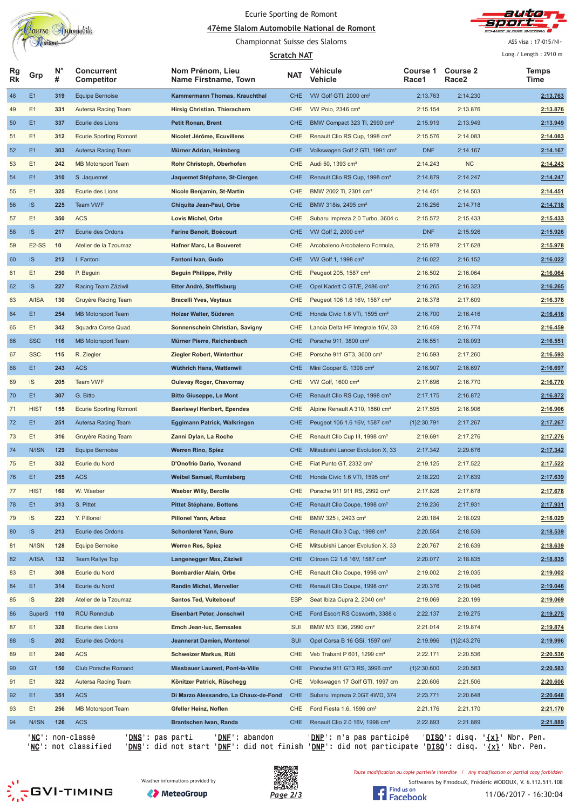

#### Ecurie Sporting de Romont

<u>A7ème Slalom Automobile National de Romont</u>



ASS visa: 17-015/NI+

|                 |              | Comon            |                                                              | Championnat Suisse des Slaloms           |             |                                                                                       |                          |                      | ASS visa: 17-015/NI+                            |
|-----------------|--------------|------------------|--------------------------------------------------------------|------------------------------------------|-------------|---------------------------------------------------------------------------------------|--------------------------|----------------------|-------------------------------------------------|
|                 |              |                  |                                                              |                                          | Scratch NAT |                                                                                       |                          |                      | Long./ Length: 2910 m                           |
| Rg<br><b>Rk</b> | Grp          | $N^{\circ}$<br># | <b>Concurrent</b><br>Competitor                              | Nom Prénom, Lieu<br>Name Firstname, Town | <b>NAT</b>  | Véhicule<br>Vehicle                                                                   | <b>Course 1</b><br>Race1 | Course 2<br>Race2    | <b>Temps</b><br>Time                            |
| 48              | E1           | 319              | Equipe Bernoise                                              | Kammermann Thomas, Krauchthal            | <b>CHE</b>  | VW Golf GTI, 2000 cm <sup>3</sup>                                                     | 2:13.763                 | 2:14.230             | 2:13.763                                        |
| 49              | E1           | 331              | Autersa Racing Team                                          | Hirsig Christian, Thierachern            | CHE         | VW Polo, 2346 cm <sup>3</sup>                                                         | 2:15.154                 | 2:13.876             | 2:13.876                                        |
| 50              | E1           | 337              | Ecurie des Lions                                             | <b>Petit Ronan, Brent</b>                | <b>CHE</b>  | BMW Compact 323 TI, 2990 cm <sup>3</sup>                                              | 2:15.919                 | 2:13.949             | 2:13.949                                        |
| 51              | E1           | 312              | <b>Ecurie Sporting Romont</b>                                | Nicolet Jérôme, Ecuvillens               | CHE         | Renault Clio RS Cup, 1998 cm <sup>3</sup>                                             | 2:15.576                 | 2:14.083             | 2:14.083                                        |
| 52              | E1           | 303              | Autersa Racing Team                                          | Mürner Adrian, Heimberg                  | <b>CHE</b>  | Volkswagen Golf 2 GTI, 1991 cm <sup>3</sup>                                           | <b>DNF</b>               | 2:14.167             | 2:14.167                                        |
| 53              | E1           | 242              | <b>MB Motorsport Team</b>                                    | Rohr Christoph, Oberhofen                | <b>CHE</b>  | Audi 50, 1393 cm <sup>3</sup>                                                         | 2:14.243                 | NC                   | 2:14.243                                        |
| 54              | E1           | 310              | S. Jaquemet                                                  | Jaquemet Stéphane, St-Cierges            | <b>CHE</b>  | Renault Clio RS Cup, 1998 cm <sup>3</sup>                                             | 2:14.879                 | 2:14.247             | 2:14.247                                        |
| 55              | E1           | 325              | Ecurie des Lions                                             | Nicole Benjamin, St-Martin               | CHE         | BMW 2002 Ti, 2301 cm <sup>3</sup>                                                     | 2:14.451                 | 2:14.503             | 2:14.451                                        |
| 56              | <b>IS</b>    | 225              | <b>Team VWF</b>                                              | Chiquita Jean-Paul, Orbe                 | <b>CHE</b>  | BMW 318is, 2495 cm <sup>3</sup>                                                       | 2:16.256                 | 2:14.718             | 2:14.718                                        |
| 57              | E1           | 350              | <b>ACS</b>                                                   | Lovis Michel, Orbe                       | CHE         | Subaru Impreza 2.0 Turbo, 3604 c                                                      | 2:15.572                 | 2:15.433             | 2:15.433                                        |
| 58              | IS.          | 217              | Ecurie des Ordons                                            | <b>Farine Benoit, Boécourt</b>           | <b>CHE</b>  | VW Golf 2, 2000 cm <sup>3</sup>                                                       | <b>DNF</b>               | 2:15.926             | 2:15.926                                        |
| 59              | E2-SS        | 10               | Atelier de la Tzoumaz                                        | <b>Hafner Marc, Le Bouveret</b>          | CHE         | Arcobaleno Arcobaleno Formula,                                                        | 2:15.978                 | 2:17.628             | 2:15.978                                        |
| 60              | <b>IS</b>    | 212              | I. Fantoni                                                   | Fantoni Ivan, Gudo                       | <b>CHE</b>  | VW Golf 1, 1998 cm <sup>3</sup>                                                       | 2:16.022                 | 2:16.152             | 2:16.022                                        |
| 61              | E1           | 250              | P. Beguin                                                    | <b>Beguin Philippe, Prilly</b>           | CHE         | Peugeot 205, 1587 cm <sup>3</sup>                                                     | 2:16.502                 | 2:16.064             | 2:16.064                                        |
| 62              | <b>IS</b>    | 227              | Racing Team Zäziwil                                          | Etter André, Steffisburg                 | <b>CHE</b>  | Opel Kadett C GT/E, 2486 cm <sup>3</sup>                                              | 2:16.265                 | 2:16.323             | 2:16.265                                        |
| 63              | <b>A/ISA</b> | 130              | Gruyère Racing Team                                          | <b>Bracelli Yves, Veytaux</b>            | CHE         | Peugeot 106 1.6 16V, 1587 cm <sup>3</sup>                                             | 2:16.378                 | 2:17.609             | 2:16.378                                        |
| 64              | E1           | 254              | <b>MB Motorsport Team</b>                                    | Holzer Walter, Süderen                   | <b>CHE</b>  | Honda Civic 1.6 VTi, 1595 cm <sup>3</sup>                                             | 2:16.700                 | 2:16.416             | 2:16.416                                        |
| 65              | E1           | 342              | Squadra Corse Quad.                                          | Sonnenschein Christian, Savigny          | CHE         | Lancia Delta HF Integrale 16V, 33                                                     | 2:16.459                 | 2:16.774             | 2:16.459                                        |
| 66              | <b>SSC</b>   | 116              | <b>MB Motorsport Team</b>                                    | Mürner Pierre, Reichenbach               | CHE.        | Porsche 911, 3800 cm <sup>3</sup>                                                     | 2:16.551                 | 2:18.093             | 2:16.551                                        |
| 67              | <b>SSC</b>   | 115              | R. Ziegler                                                   | Ziegler Robert, Winterthur               | CHE         | Porsche 911 GT3, 3600 cm <sup>3</sup>                                                 | 2:16.593                 | 2:17.260             | 2:16.593                                        |
| 68              | E1           | 243              | <b>ACS</b>                                                   | Wüthrich Hans, Wattenwil                 | <b>CHE</b>  | Mini Cooper S, 1398 cm <sup>3</sup>                                                   | 2:16.907                 | 2:16.697             | 2:16.697                                        |
| 69              | IS.          | 205              | Team VWF                                                     | <b>Oulevay Roger, Chavornay</b>          | <b>CHE</b>  | VW Golf, 1600 cm <sup>3</sup>                                                         | 2:17.696                 | 2:16.770             | 2:16.770                                        |
| 70              | E1           | 307              | G. Bitto                                                     | <b>Bitto Giuseppe, Le Mont</b>           | <b>CHE</b>  | Renault Clio RS Cup, 1998 cm <sup>3</sup>                                             | 2:17.175                 | 2:16.872             | 2:16.872                                        |
| 71              | <b>HIST</b>  | 155              | <b>Ecurie Sporting Romont</b>                                | <b>Baeriswyl Heribert, Ependes</b>       | CHE         | Alpine Renault A 310, 1860 cm <sup>3</sup>                                            | 2:17.595                 | 2:16.906             | 2:16.906                                        |
| 72              | E1           | 251              | Autersa Racing Team                                          | Eggimann Patrick, Walkringen             | CHE         | Peugeot 106 1.6 16V, 1587 cm <sup>3</sup>                                             | ${1}2:30.791$            | 2:17.267             | 2:17.267                                        |
| 73              | E1           | 316              | Gruyère Racing Team                                          | Zanni Dylan, La Roche                    | CHE         | Renault Clio Cup III, 1998 cm <sup>3</sup>                                            | 2:19.691                 | 2:17.276             | 2:17.276                                        |
| 74              | N/ISN        | 129              | <b>Equipe Bernoise</b>                                       | <b>Werren Rino, Spiez</b>                | <b>CHE</b>  | Mitsubishi Lancer Evolution X, 33                                                     | 2:17.342                 | 2:29.676             | 2:17.342                                        |
| 75              | E1           | 332              | Ecurie du Nord                                               | D'Onofrio Dario, Yvonand                 | <b>CHE</b>  | Fiat Punto GT, 2332 cm <sup>3</sup>                                                   | 2:19.125                 | 2:17.522             | 2:17.522                                        |
|                 | E1           | 255              | <b>ACS</b>                                                   |                                          | <b>CHE</b>  |                                                                                       |                          |                      |                                                 |
| 76              | <b>HIST</b>  | 160              | W. Waeber                                                    | <b>Weibel Samuel, Rumisberg</b>          | CHE         | Honda Civic 1.6 VTI, 1595 cm <sup>3</sup><br>Porsche 911 911 RS, 2992 cm <sup>3</sup> | 2:18.220                 | 2:17.639             | 2:17.639                                        |
| 77              |              |                  |                                                              | <b>Waeber Willy, Berolle</b>             |             | Renault Clio Coupe, 1998 cm <sup>3</sup>                                              | 2:17.826                 | 2:17.678             | 2:17.678                                        |
| 78              | E1           | 313              | S. Pittet                                                    | <b>Pittet Stéphane, Bottens</b>          | <b>CHE</b>  | BMW 325 i, 2493 cm <sup>3</sup>                                                       | 2:19.236                 | 2:17.931<br>2:18.029 | 2:17.931                                        |
| 79              | IS           | 223              | Y. Pillonel                                                  | Pillonel Yann, Arbaz                     | <b>CHE</b>  |                                                                                       | 2:20.184                 |                      | 2:18.029                                        |
| 80              | IS           | 213              | Ecurie des Ordons                                            | <b>Schorderet Yann, Bure</b>             | CHE         | Renault Clio 3 Cup, 1998 cm <sup>3</sup>                                              | 2:20.554                 | 2:18.539             | 2:18.539                                        |
| 81              | N/ISN        | 128              | Equipe Bernoise                                              | Werren Res, Spiez                        | CHE         | Mitsubishi Lancer Evolution X, 33                                                     | 2:20.767                 | 2:18.639             | 2:18.639                                        |
| 82              | <b>A/ISA</b> | 132              | Team Rallye Top                                              | Langenegger Max, Zäziwil                 | <b>CHE</b>  | Citroen C2 1.6 16V, 1587 cm <sup>3</sup>                                              | 2:20.077                 | 2:18.835             | 2:18.835                                        |
| 83              | E1           | 308              | Ecurie du Nord                                               | <b>Bombardier Alain, Orbe</b>            | CHE         | Renault Clio Coupe, 1998 cm <sup>3</sup>                                              | 2:19.002                 | 2:19.035             | 2:19.002                                        |
| 84              | E1           | 314              | Ecurie du Nord                                               | Randin Michel, Mervelier                 | <b>CHE</b>  | Renault Clio Coupe, 1998 cm <sup>3</sup>                                              | 2:20.376                 | 2:19.046             | 2:19.046                                        |
| 85              | IS           | 220              | Atelier de la Tzoumaz                                        | <b>Santos Ted, Vuiteboeuf</b>            | <b>ESP</b>  | Seat Ibiza Cupra 2, 2040 cm <sup>3</sup>                                              | 2:19.069                 | 2:20.199             | 2:19.069                                        |
| 86              | SuperS 110   |                  | <b>RCU Rennclub</b>                                          | <b>Eisenbart Peter, Jonschwil</b>        | <b>CHE</b>  | Ford Escort RS Cosworth, 3388 c                                                       | 2:22.137                 | 2:19.275             | 2:19.275                                        |
| 87              | E1           | 328              | Ecurie des Lions                                             | <b>Emch Jean-luc, Semsales</b>           | SUI         | BMW M3 E36, 2990 cm <sup>3</sup>                                                      | 2:21.014                 | 2:19.874             | 2:19.874                                        |
| 88              | IS.          | 202              | Ecurie des Ordons                                            | Jeannerat Damien, Montenol               | <b>SUI</b>  | Opel Corsa B 16 GSi, 1597 cm <sup>3</sup>                                             | 2:19.996                 | ${1}2:43.276$        | 2:19.996                                        |
| 89              | E1           | 240              | <b>ACS</b>                                                   | Schweizer Markus, Rüti                   | CHE         | Veb Trabant P 601, 1299 cm <sup>3</sup>                                               | 2:22.171                 | 2:20.536             | 2:20.536                                        |
| 90              | GT           | 150              | Club Porsche Romand                                          | Missbauer Laurent, Pont-la-Ville         | CHE         | Porsche 911 GT3 RS, 3996 cm <sup>3</sup>                                              | ${1}2:30.600$            | 2:20.583             | 2:20.583                                        |
| 91              | E1           | 322              | Autersa Racing Team                                          | Könitzer Patrick, Rüschegg               | CHE         | Volkswagen 17 Golf GTI, 1997 cm                                                       | 2:20.606                 | 2:21.506             | 2:20.606                                        |
| 92              | E1           | 351              | <b>ACS</b>                                                   | Di Marzo Alessandro, La Chaux-de-Fond    | <b>CHE</b>  | Subaru Impreza 2.0GT 4WD, 374                                                         | 2:23.771                 | 2:20.648             | 2:20.648                                        |
| 93              | E1           | 256              | <b>MB Motorsport Team</b>                                    | Gfeller Heinz, Noflen                    | CHE         | Ford Fiesta 1.6, 1596 $cm3$                                                           | 2:21.176                 | 2:21.170             | 2:21.170                                        |
| 94              | N/ISN        | 126              | <b>ACS</b>                                                   | Brantschen Iwan, Randa                   | <b>CHE</b>  | Renault Clio 2.0 16V, 1998 cm <sup>3</sup>                                            | 2:22.893                 | 2:21.889             | 2:21.889                                        |
|                 |              |                  | ' <mark>NC</mark> ': non-classé<br>' <u>DNS</u> ': pas parti | ' <u>DNF</u> ': abandon                  |             | <u>DNP</u> ': n'a pas participé                                                       |                          |                      | ' <u>DISQ</u> ': disq. ' <u>{x}</u> ' Nbr. Pen. |

'<u>NC</u>': not classified '<u>DNS</u>': did not start '<u>DNF</u>': did not finish '<u>DNP</u>': did not participate '<u>DISQ</u>': disq. '<u>{x}</u>' Nbr. Pen.

**SESSION** 





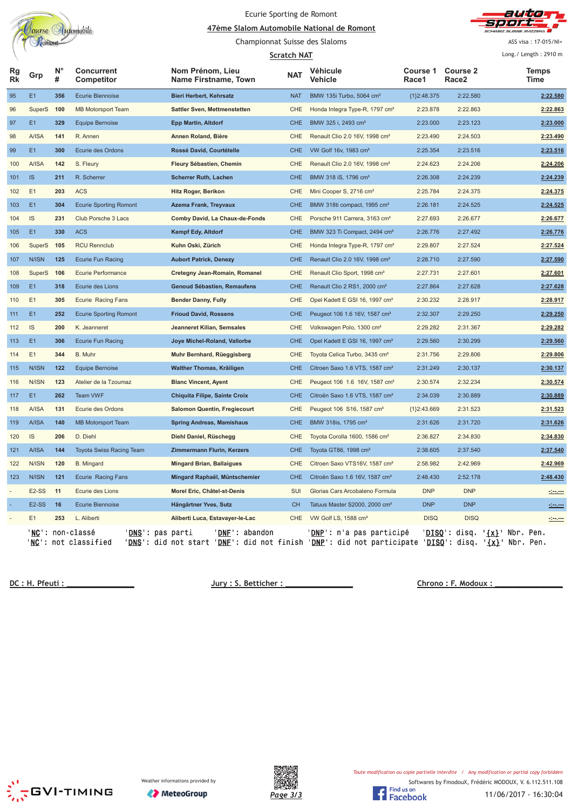| tutomobile<br>ourse |
|---------------------|
|                     |
| <b>OMONU</b>        |

# Ecurie Sporting de Romont

<u>A7ème Slalom Automobile National de Romont</u> Championnat Suisse des Slaloms



ASS visa: 17-015/NI+

|          |                    |                  |                                                                                       |                                                                                                                                                                             | <b>Scratch NAT</b> |                                            |                   |                                      |                                               | Long./ Length: 2910 m                                                                                                                                                                                                                |
|----------|--------------------|------------------|---------------------------------------------------------------------------------------|-----------------------------------------------------------------------------------------------------------------------------------------------------------------------------|--------------------|--------------------------------------------|-------------------|--------------------------------------|-----------------------------------------------|--------------------------------------------------------------------------------------------------------------------------------------------------------------------------------------------------------------------------------------|
| Rg<br>Rk | Grp                | $N^{\circ}$<br># | Concurrent<br>Competitor                                                              | Nom Prénom, Lieu<br>Name Firstname, Town                                                                                                                                    | <b>NAT</b>         | Véhicule<br>Vehicle                        | Course 1<br>Race1 | <b>Course 2</b><br>Race <sub>2</sub> |                                               | <b>Temps</b><br>Time                                                                                                                                                                                                                 |
| 95       | E1                 | 356              | <b>Ecurie Biennoise</b>                                                               | <b>Bieri Herbert, Kehrsatz</b>                                                                                                                                              | <b>NAT</b>         | BMW 135i Turbo, 5064 cm <sup>3</sup>       | ${1}2:48.375$     | 2:22.580                             |                                               | 2:22.580                                                                                                                                                                                                                             |
| 96       | SuperS 100         |                  | <b>MB Motorsport Team</b>                                                             | Sattler Sven, Mettmenstetten                                                                                                                                                | CHE                | Honda Integra Type-R, 1797 cm <sup>3</sup> | 2:23.878          | 2:22.863                             |                                               | 2:22.863                                                                                                                                                                                                                             |
| 97       | E1                 | 329              | <b>Equipe Bernoise</b>                                                                | <b>Epp Martin, Altdorf</b>                                                                                                                                                  | <b>CHE</b>         | BMW 325 i, 2493 cm <sup>3</sup>            | 2:23.000          | 2:23.123                             |                                               | 2:23.000                                                                                                                                                                                                                             |
| 98       | A/ISA              | 141              | R. Annen                                                                              | Annen Roland, Bière                                                                                                                                                         | CHE                | Renault Clio 2.0 16V, 1998 cm <sup>3</sup> | 2:23.490          | 2:24.503                             |                                               | 2:23.490                                                                                                                                                                                                                             |
| 99       | E1                 | 300              | Ecurie des Ordons                                                                     | Rossé David, Courtételle                                                                                                                                                    | <b>CHE</b>         | VW Golf 16v, 1983 cm <sup>3</sup>          | 2:25.354          | 2:23.516                             |                                               | 2:23.516                                                                                                                                                                                                                             |
| 100      | A/ISA              | 142              | S. Fleury                                                                             | Fleury Sébastien, Chemin                                                                                                                                                    | CHE                | Renault Clio 2.0 16V, 1998 cm <sup>3</sup> | 2:24.623          | 2:24.206                             |                                               | 2:24.206                                                                                                                                                                                                                             |
| 101      | IS                 | 211              | R. Scherrer                                                                           | <b>Scherrer Ruth, Lachen</b>                                                                                                                                                | <b>CHE</b>         | BMW 318 iS, 1796 cm <sup>3</sup>           | 2:26.308          | 2:24.239                             |                                               | 2:24.239                                                                                                                                                                                                                             |
| 102      | E1                 | 203              | <b>ACS</b>                                                                            | Hitz Roger, Berikon                                                                                                                                                         | CHE                | Mini Cooper S, 2716 cm <sup>3</sup>        | 2:25.784          | 2:24.375                             |                                               | 2:24.375                                                                                                                                                                                                                             |
| 103      | E1                 | 304              | <b>Ecurie Sporting Romont</b>                                                         | <b>Azema Frank, Treyvaux</b>                                                                                                                                                | <b>CHE</b>         | BMW 318ti compact, 1995 cm <sup>3</sup>    | 2:26.181          | 2:24.525                             |                                               | 2:24.525                                                                                                                                                                                                                             |
| 104      | IS                 | 231              | Club Porsche 3 Lacs                                                                   | Comby David, La Chaux-de-Fonds                                                                                                                                              | CHE                | Porsche 911 Carrera, 3163 cm <sup>3</sup>  | 2:27.693          | 2:26.677                             |                                               | 2:26.677                                                                                                                                                                                                                             |
| 105      | E1                 | 330              | <b>ACS</b>                                                                            | Kempf Edy, Altdorf                                                                                                                                                          | <b>CHE</b>         | BMW 323 Ti Compact, 2494 cm <sup>3</sup>   | 2:26.776          | 2:27.492                             |                                               | 2:26.776                                                                                                                                                                                                                             |
| 106      | SuperS             | 105              | <b>RCU Rennclub</b>                                                                   | Kuhn Oski, Zürich                                                                                                                                                           | CHE                | Honda Integra Type-R, 1797 cm <sup>3</sup> | 2:29.807          | 2:27.524                             |                                               | 2:27.524                                                                                                                                                                                                                             |
| 107      | N/ISN              | 125              | Ecurie Fun Racing                                                                     | <b>Aubort Patrick, Denezy</b>                                                                                                                                               | <b>CHE</b>         | Renault Clio 2.0 16V, 1998 cm <sup>3</sup> | 2:28.710          | 2:27.590                             |                                               | 2:27.590                                                                                                                                                                                                                             |
| 108      | SuperS             | 106              | <b>Ecurie Performance</b>                                                             | Cretegny Jean-Romain, Romanel                                                                                                                                               | CHE                | Renault Clio Sport, 1998 cm <sup>3</sup>   | 2:27.731          | 2:27.601                             |                                               | 2:27.601                                                                                                                                                                                                                             |
| 109      | E1                 | 318              | Ecurie des Lions                                                                      | Genoud Sébastien, Remaufens                                                                                                                                                 | <b>CHE</b>         | Renault Clio 2 RS1, 2000 cm <sup>3</sup>   | 2:27.864          | 2:27.628                             |                                               | 2:27.628                                                                                                                                                                                                                             |
| 110      | E1                 | 305              | <b>Ecurie Racing Fans</b>                                                             | <b>Bender Danny, Fully</b>                                                                                                                                                  | CHE                | Opel Kadett E GSI 16, 1997 cm <sup>3</sup> | 2:30.232          | 2:28.917                             |                                               | 2:28.917                                                                                                                                                                                                                             |
| 111      | E1                 | 252              | <b>Ecurie Sporting Romont</b>                                                         | <b>Frioud David, Rossens</b>                                                                                                                                                | <b>CHE</b>         | Peugeot 106 1.6 16V, 1587 cm <sup>3</sup>  | 2:32.307          | 2:29.250                             |                                               | 2:29.250                                                                                                                                                                                                                             |
| 112      | IS                 | 200              | K. Jeanneret                                                                          | Jeanneret Kilian, Semsales                                                                                                                                                  | CHE                | Volkswagen Polo, 1300 cm <sup>3</sup>      | 2:29.282          | 2:31.367                             |                                               | 2:29.282                                                                                                                                                                                                                             |
| 113      | E1                 | 306              | <b>Ecurie Fun Racing</b>                                                              | Joye Michel-Roland, Vallorbe                                                                                                                                                | <b>CHE</b>         | Opel Kadett E GSI 16, 1997 cm <sup>3</sup> | 2:29.560          | 2:30.299                             |                                               | 2:29.560                                                                                                                                                                                                                             |
| 114      | E1                 | 344              | B. Muhr                                                                               | Muhr Bernhard, Rüeggisberg                                                                                                                                                  | CHE                | Toyota Celica Turbo, 3435 cm <sup>3</sup>  | 2:31.756          | 2:29.806                             |                                               | 2:29.806                                                                                                                                                                                                                             |
| 115      | N/ISN              | 122              | <b>Equipe Bernoise</b>                                                                | Walther Thomas, Kräiligen                                                                                                                                                   | <b>CHE</b>         | Citroen Saxo 1.6 VTS, 1587 cm <sup>3</sup> | 2:31.249          | 2:30.137                             |                                               | 2:30.137                                                                                                                                                                                                                             |
| 116      | N/ISN              | 123              | Atelier de la Tzoumaz                                                                 | <b>Blanc Vincent, Ayent</b>                                                                                                                                                 | CHE                | Peugeot 106 1.6 16V, 1587 cm <sup>3</sup>  | 2:30.574          | 2:32.234                             |                                               | 2:30.574                                                                                                                                                                                                                             |
| 117      | E1                 | 262              | <b>Team VWF</b>                                                                       | <b>Chiquita Filipe, Sainte Croix</b>                                                                                                                                        | <b>CHE</b>         | Citroën Saxo 1.6 VTS, 1587 cm <sup>3</sup> | 2:34.039          | 2:30.889                             |                                               | 2:30.889                                                                                                                                                                                                                             |
| 118      | A/ISA              | 131              | Ecurie des Ordons                                                                     | <b>Salomon Quentin, Fregiecourt</b>                                                                                                                                         | CHE                | Peugeot 106 S16, 1587 cm <sup>3</sup>      | ${1}2:43.669$     | 2:31.523                             |                                               | 2:31.523                                                                                                                                                                                                                             |
| 119      | A/ISA              | 140              | <b>MB Motorsport Team</b>                                                             | <b>Spring Andreas, Mamishaus</b>                                                                                                                                            | <b>CHE</b>         | BMW 318is, 1795 cm <sup>3</sup>            | 2:31.626          | 2:31.720                             |                                               | 2:31.626                                                                                                                                                                                                                             |
| 120      | IS                 | 206              | D. Diehl                                                                              | Diehl Daniel, Rüschegg                                                                                                                                                      | CHE                | Toyota Corolla 1600, 1586 cm <sup>3</sup>  | 2:36.827          | 2:34.830                             |                                               | 2:34.830                                                                                                                                                                                                                             |
| 121      | A/ISA              | 144              | Toyota Swiss Racing Team                                                              | <b>Zimmermann Flurin, Kerzers</b>                                                                                                                                           | <b>CHE</b>         | Toyota GT86, 1998 cm <sup>3</sup>          | 2:38.605          | 2:37.540                             |                                               | 2:37.540                                                                                                                                                                                                                             |
| 122      | N/ISN              | 120              | B. Mingard                                                                            | <b>Mingard Brian, Ballaigues</b>                                                                                                                                            | CHE                | Citroen Saxo VTS16V, 1587 cm <sup>3</sup>  | 2:58.982          | 2:42.969                             |                                               | 2:42.969                                                                                                                                                                                                                             |
| 123      | N/ISN              | $121$            | Ecurie Racing Fans                                                                    | Mingard Raphaël, Müntschemier                                                                                                                                               | <b>CHE</b>         | Citroën Saxo 1.6 16V, 1587 cm <sup>3</sup> | 2:48.430          | 2:52.178                             |                                               | 2:48.430                                                                                                                                                                                                                             |
|          | E <sub>2</sub> -SS | 11               | Ecurie des Lions                                                                      | Morel Eric, Châtel-st-Denis                                                                                                                                                 | SUI                | Glorias Cars Arcobaleno Formula            | <b>DNP</b>        | <b>DNP</b>                           |                                               | <u>Server</u>                                                                                                                                                                                                                        |
| $\sim$   | E2-SS              | 16               | <b>Ecurie Biennoise</b>                                                               | Hängärtner Yves, Sutz                                                                                                                                                       | <b>CH</b>          | Tatuus Master S2000, 2000 cm <sup>3</sup>  | <b>DNP</b>        | <b>DNP</b>                           |                                               | <u> - 100 - 100 - 100 - 100 - 100 - 100 - 100 - 100 - 100 - 100 - 100 - 100 - 100 - 100 - 100 - 100 - 100 - 100 - 100 - 100 - 100 - 100 - 100 - 100 - 100 - 100 - 100 - 100 - 100 - 100 - 100 - 100 - 100 - 100 - 100 - 100 - 10</u> |
|          | E1                 | 253              | L. Aliberti                                                                           | Aliberti Luca, Estavayer-le-Lac                                                                                                                                             | CHE                | VW Golf LS, 1588 cm <sup>3</sup>           | <b>DISQ</b>       | <b>DISQ</b>                          |                                               | $-1 - 1 - 1$                                                                                                                                                                                                                         |
|          |                    |                  | ' <b>NC':</b> non-classé<br>' <b>DNS</b> ': pas parti<br>' <b>NC':</b> not classified | ' <b>DNF</b> ': abandon<br>' <u>DNS</u> ': did not start ' <u>DNF</u> ': did not finish ' <u>DNP</u> ': did not participate ' <u>DISQ</u> ': disq. ' <u>{x}</u> ' Nbr. Pen. |                    | ' <b>DNP</b> ': n'a pas participé          |                   |                                      | ' <b>DISQ</b> ': disq. <b>'{x}'</b> Nbr. Pen. |                                                                                                                                                                                                                                      |

**!"** 

**<u>ho : F. Modoux : \_\_\_\_\_\_\_\_\_\_\_\_\_\_\_\_</u>\_\_\_\_\_\_** 



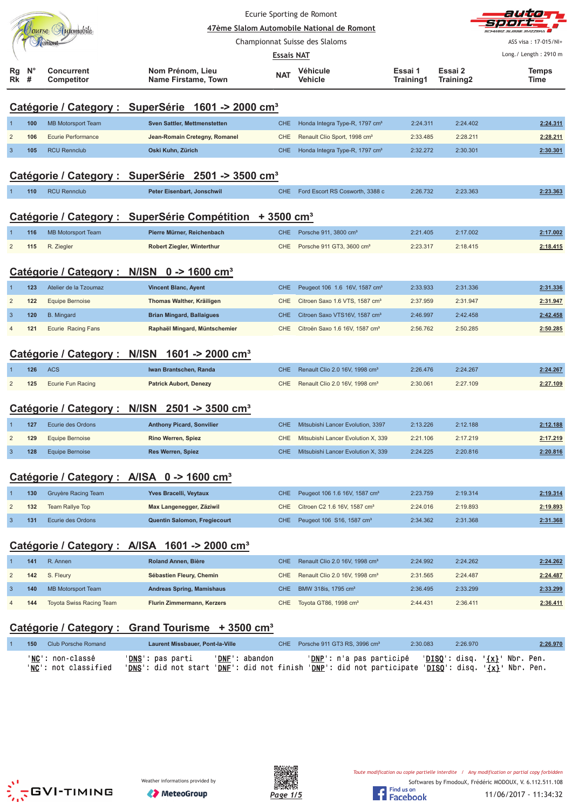|                |                  |                                 |                                                                      |            | Ecurie Sporting de Romont<br>47ème Slalom Automobile National de Romont |                      |                      | althda                                          |
|----------------|------------------|---------------------------------|----------------------------------------------------------------------|------------|-------------------------------------------------------------------------|----------------------|----------------------|-------------------------------------------------|
|                |                  | Tourse Automobile               |                                                                      |            | Championnat Suisse des Slaloms                                          |                      |                      | ASS visa: 17-015/NI+                            |
|                |                  |                                 |                                                                      | Essais NAT |                                                                         |                      |                      | Long./ Length: 2910 m                           |
| Rg<br>Rk       | $N^{\circ}$<br># | <b>Concurrent</b><br>Competitor | Nom Prénom, Lieu<br>Name Firstame, Town                              | <b>NAT</b> | Véhicule<br>Vehicle                                                     | Essai 1<br>Training1 | Essai 2<br>Training2 | Temps<br>Time                                   |
|                |                  |                                 | Catégorie / Category : SuperSérie 1601 -> 2000 cm <sup>3</sup>       |            |                                                                         |                      |                      |                                                 |
|                | 100              | <b>MB Motorsport Team</b>       | <b>Sven Sattler, Mettmenstetten</b>                                  | <b>CHE</b> | Honda Integra Type-R, 1797 cm <sup>3</sup>                              | 2:24.311             | 2:24.402             | 2:24.311                                        |
| $\overline{2}$ | 106              | <b>Ecurie Performance</b>       | Jean-Romain Cretegny, Romanel                                        | CHE        | Renault Clio Sport, 1998 cm <sup>3</sup>                                | 2:33.485             | 2:28.211             | 2:28.211                                        |
| 3              | 105              | <b>RCU Rennclub</b>             | Oski Kuhn, Zürich                                                    | <b>CHE</b> | Honda Integra Type-R, 1797 cm <sup>3</sup>                              | 2:32.272             | 2:30.301             | 2:30.301                                        |
|                |                  |                                 | Catégorie / Category : SuperSérie 2501 -> 3500 cm <sup>3</sup>       |            |                                                                         |                      |                      |                                                 |
|                | 110              | <b>RCU Rennclub</b>             | Peter Eisenbart, Jonschwil                                           | <b>CHE</b> | Ford Escort RS Cosworth, 3388 c                                         | 2:26.732             | 2:23.363             | 2:23.363                                        |
|                |                  |                                 | Catégorie / Category : SuperSérie Compétition + 3500 cm <sup>3</sup> |            |                                                                         |                      |                      |                                                 |
|                | 116              | <b>MB Motorsport Team</b>       | Pierre Mürner, Reichenbach                                           | <b>CHE</b> | Porsche 911, 3800 cm <sup>3</sup>                                       | 2:21.405             | 2:17.002             | 2:17.002                                        |
| $\overline{2}$ | 115              | R. Ziegler                      | <b>Robert Ziegler, Winterthur</b>                                    | <b>CHE</b> | Porsche 911 GT3, 3600 cm <sup>3</sup>                                   | 2:23.317             | 2:18.415             | 2:18.415                                        |
|                |                  |                                 | Catégorie / Category : N/ISN 0 -> 1600 cm <sup>3</sup>               |            |                                                                         |                      |                      |                                                 |
|                | 123              | Atelier de la Tzoumaz           | <b>Vincent Blanc, Ayent</b>                                          | <b>CHE</b> | Peugeot 106 1.6 16V, 1587 cm <sup>3</sup>                               | 2:33.933             | 2:31.336             | 2:31.336                                        |
| $\overline{2}$ | 122              | <b>Equipe Bernoise</b>          | Thomas Walther, Kräiligen                                            | <b>CHE</b> | Citroen Saxo 1.6 VTS, 1587 cm <sup>3</sup>                              | 2:37.959             | 2:31.947             | 2:31.947                                        |
| 3              | 120              | <b>B.</b> Mingard               | <b>Brian Mingard, Ballaigues</b>                                     | <b>CHE</b> | Citroen Saxo VTS16V, 1587 cm <sup>3</sup>                               | 2:46.997             | 2:42.458             | 2:42.458                                        |
|                | 121              | <b>Ecurie Racing Fans</b>       | Raphaël Mingard, Müntschemier                                        | <b>CHE</b> | Citroën Saxo 1.6 16V, 1587 cm <sup>3</sup>                              | 2:56.762             | 2:50.285             | 2:50.285                                        |
|                |                  | Catégorie / Category : N/ISN    | 1601 -> 2000 cm <sup>3</sup>                                         |            |                                                                         |                      |                      |                                                 |
|                | 126              | <b>ACS</b>                      | Iwan Brantschen, Randa                                               | <b>CHE</b> | Renault Clio 2.0 16V, 1998 cm <sup>3</sup>                              | 2:26.476             | 2:24.267             | 2:24.267                                        |
| $\overline{2}$ | 125              | <b>Ecurie Fun Racing</b>        | <b>Patrick Aubort, Denezy</b>                                        | <b>CHE</b> | Renault Clio 2.0 16V, 1998 cm <sup>3</sup>                              | 2:30.061             | 2:27.109             | 2:27.109                                        |
|                |                  |                                 | Catégorie / Category : N/ISN 2501 -> 3500 cm <sup>3</sup>            |            |                                                                         |                      |                      |                                                 |
|                | 127              | Ecurie des Ordons               | <b>Anthony Picard, Sonvilier</b>                                     | <b>CHE</b> | Mitsubishi Lancer Evolution, 3397                                       | 2:13.226             | 2:12.188             | 2:12.188                                        |
| 2              | 129              | <b>Equipe Bernoise</b>          | Rino Werren, Spiez                                                   | <b>CHE</b> | Mitsubishi Lancer Evolution X, 339                                      | 2:21.106             | 2:17.219             | 2:17.219                                        |
| 3              | 128              | <b>Equipe Bernoise</b>          | <b>Res Werren, Spiez</b>                                             | <b>CHE</b> | Mitsubishi Lancer Evolution X, 339                                      | 2:24.225             | 2:20.816             | 2:20.816                                        |
|                |                  |                                 | Catégorie / Category : A/ISA 0 -> 1600 cm <sup>3</sup>               |            |                                                                         |                      |                      |                                                 |
|                | 130              | Gruyère Racing Team             | Yves Bracelli, Veytaux                                               | <b>CHE</b> | Peugeot 106 1.6 16V, 1587 cm <sup>3</sup>                               | 2:23.759             | 2:19.314             | 2:19.314                                        |
| $\overline{2}$ | 132              | <b>Team Rallye Top</b>          | Max Langenegger, Zäziwil                                             | CHE        | Citroen C2 1.6 16V, 1587 cm <sup>3</sup>                                | 2:24.016             | 2:19.893             | 2:19.893                                        |
| $\mathbf{3}$   | 131              | Ecurie des Ordons               | Quentin Salomon, Fregiecourt                                         | <b>CHE</b> | Peugeot 106 S16, 1587 cm <sup>3</sup>                                   | 2:34.362             | 2:31.368             | 2:31.368                                        |
|                |                  |                                 | Catégorie / Category : A/ISA 1601 -> 2000 cm <sup>3</sup>            |            |                                                                         |                      |                      |                                                 |
|                | 141              | R. Annen                        | Roland Annen, Bière                                                  | <b>CHE</b> | Renault Clio 2.0 16V, 1998 cm <sup>3</sup>                              | 2:24.992             | 2:24.262             | 2:24.262                                        |
| $\overline{c}$ | 142              | S. Fleury                       | Sébastien Fleury, Chemin                                             | <b>CHE</b> | Renault Clio 2.0 16V, 1998 cm <sup>3</sup>                              | 2:31.565             | 2:24.487             | 2:24.487                                        |
| 3              | 140              | <b>MB Motorsport Team</b>       | <b>Andreas Spring, Mamishaus</b>                                     | <b>CHE</b> | BMW 318is, 1795 cm <sup>3</sup>                                         | 2:36.495             | 2:33.299             | 2:33.299                                        |
|                | 144              | Toyota Swiss Racing Team        | Flurin Zimmermann, Kerzers                                           | <b>CHE</b> | Toyota GT86, 1998 cm <sup>3</sup>                                       | 2:44.431             | 2:36.411             | 2:36.411                                        |
|                |                  | Catégorie / Category :          | Grand Tourisme + 3500 cm <sup>3</sup>                                |            |                                                                         |                      |                      |                                                 |
|                | 150              | <b>Club Porsche Romand</b>      | Laurent Missbauer, Pont-la-Ville                                     | <b>CHE</b> | Porsche 911 GT3 RS, 3996 cm <sup>3</sup>                                | 2:30.083             | 2:26.970             | 2:26.970                                        |
|                |                  | ' <mark>NC</mark> ': non-classé | 'DNF': abandon<br>' <u>DNS</u> ': pas parti                          |            | ' <u>DNP</u> ': n'a pas participé                                       |                      |                      | ' <u>DISQ</u> ': disq. ' <u>{x}</u> ' Nbr. Pen. |





'<u>NC</u>': not classified '<u>DNS</u>': did not start '<u>DNF</u>': did not finish '<u>DNP</u>': did not participate '<u>DISQ</u>': disq. '<u>{x}</u>' Nbr. Pen.

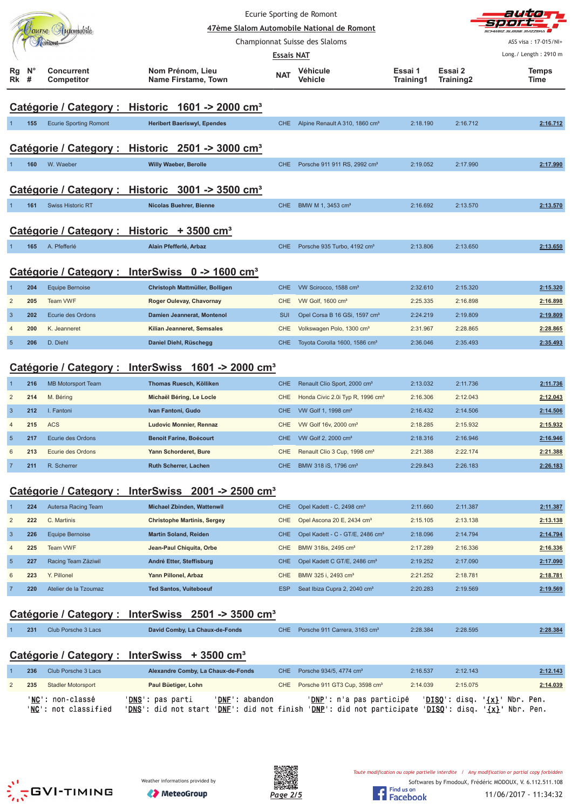|                 |                  | Iourse (Automobile<br><b>COMONT</b> | 47ème Slalom Automobile National de Romont<br>Championnat Suisse des Slaloms |                                 | anna<br>$S$ <i>AZZERA</i><br>ASS visa: 17-015/NI+<br>Long./ Length: 2910 m |                      |                      |                      |
|-----------------|------------------|-------------------------------------|------------------------------------------------------------------------------|---------------------------------|----------------------------------------------------------------------------|----------------------|----------------------|----------------------|
| Rg<br>Rk        | $N^{\circ}$<br># | <b>Concurrent</b><br>Competitor     | Nom Prénom, Lieu<br>Name Firstame, Town                                      | <b>Essais NAT</b><br><b>NAT</b> | Véhicule<br>Vehicle                                                        | Essai 1<br>Training1 | Essai 2<br>Training2 | <b>Temps</b><br>Time |
|                 |                  |                                     | Catégorie / Category : Historic 1601 -> 2000 cm <sup>3</sup>                 |                                 |                                                                            |                      |                      |                      |
|                 | 155              | <b>Ecurie Sporting Romont</b>       | <b>Heribert Baeriswyl, Ependes</b>                                           | <b>CHE</b>                      | Alpine Renault A 310, 1860 cm <sup>3</sup>                                 | 2:18.190             | 2:16.712             | 2:16.712             |
|                 |                  |                                     | Catégorie / Category : Historic 2501 -> 3000 cm <sup>3</sup>                 |                                 |                                                                            |                      |                      |                      |
|                 | 160              | W. Waeber                           | <b>Willy Waeber, Berolle</b>                                                 | CHE.                            | Porsche 911 911 RS, 2992 cm <sup>3</sup>                                   | 2:19.052             | 2:17.990             | 2:17.990             |
|                 |                  |                                     | Catégorie / Category : Historic 3001 -> 3500 cm <sup>3</sup>                 |                                 |                                                                            |                      |                      |                      |
|                 | 161              | <b>Swiss Historic RT</b>            | Nicolas Buehrer, Bienne                                                      | <b>CHE</b>                      | BMW M 1, 3453 cm <sup>3</sup>                                              | 2:16.692             | 2:13.570             | 2:13.570             |
|                 |                  |                                     | Catégorie / Category : Historic + 3500 cm <sup>3</sup>                       |                                 |                                                                            |                      |                      |                      |
|                 | 165              | A. Pfefferlé                        | Alain Pfefferlé, Arbaz                                                       | CHE.                            | Porsche 935 Turbo, 4192 cm <sup>3</sup>                                    | 2:13.806             | 2:13.650             | 2:13.650             |
|                 |                  |                                     | Catégorie / Category : InterSwiss 0 -> 1600 cm <sup>3</sup>                  |                                 |                                                                            |                      |                      |                      |
| $\mathbf 1$     | 204              | <b>Equipe Bernoise</b>              | Christoph Mattmüller, Bolligen                                               | <b>CHE</b>                      | VW Scirocco, 1588 cm <sup>3</sup>                                          | 2:32.610             | 2:15.320             | 2:15.320             |
| $\overline{2}$  | 205              | <b>Team VWF</b>                     | Roger Oulevay, Chavornay                                                     | <b>CHE</b>                      | VW Golf, 1600 cm <sup>3</sup>                                              | 2:25.335             | 2:16.898             | 2:16.898             |
| $\mathbf{3}$    | 202              | Ecurie des Ordons                   | Damien Jeannerat, Montenol                                                   | <b>SUI</b>                      | Opel Corsa B 16 GSi, 1597 cm <sup>3</sup>                                  | 2:24.219             | 2:19.809             | 2:19.809             |
| $\overline{4}$  | 200              | K. Jeanneret                        | Kilian Jeanneret, Semsales                                                   | <b>CHE</b>                      | Volkswagen Polo, 1300 cm <sup>3</sup>                                      | 2:31.967             | 2:28.865             | 2:28.865             |
| $\overline{5}$  | 206              | D. Diehl                            | Daniel Diehl, Rüschegg                                                       | <b>CHE</b>                      | Toyota Corolla 1600, 1586 cm <sup>3</sup>                                  | 2:36.046             | 2:35.493             | 2:35.493             |
|                 |                  |                                     | Catégorie / Category : InterSwiss 1601 -> 2000 cm <sup>3</sup>               |                                 |                                                                            |                      |                      |                      |
| $\mathbf{1}$    | 216              | <b>MB Motorsport Team</b>           | Thomas Ruesch, Kölliken                                                      | <b>CHE</b>                      | Renault Clio Sport, 2000 cm <sup>3</sup>                                   | 2:13.032             | 2:11.736             | 2:11.736             |
| $\overline{2}$  | 214              | M. Béring                           | Michaël Béring, Le Locle                                                     | <b>CHE</b>                      | Honda Civic 2.0i Typ R, 1996 cm <sup>3</sup>                               | 2:16.306             | 2:12.043             | 2:12.043             |
| $\overline{3}$  | 212              | I. Fantoni                          | Ivan Fantoni, Gudo                                                           | <b>CHE</b>                      | VW Golf 1, 1998 cm <sup>3</sup>                                            | 2:16.432             | 2:14.506             | 2:14.506             |
| $\overline{4}$  | 215              | <b>ACS</b>                          | Ludovic Monnier, Rennaz                                                      | <b>CHE</b>                      | VW Golf 16v, 2000 cm <sup>3</sup>                                          | 2:18.285             | 2:15.932             | 2:15.932             |
| $5\phantom{.0}$ | 217              | Ecurie des Ordons                   | <b>Benoit Farine, Boécourt</b>                                               | <b>CHE</b>                      | VW Golf 2, 2000 cm <sup>3</sup>                                            | 2:18.316             | 2:16.946             | 2:16.946             |
| 6               | 213              | Ecurie des Ordons                   | Yann Schorderet, Bure                                                        | CHE.                            | Renault Clio 3 Cup, 1998 cm <sup>3</sup>                                   | 2:21.388             | 2:22.174             | 2:21.388             |

#### **Catégorie / Category : InterSwiss 2001 -> 2500 cm³**

|                | 224 | Autersa Racing Team   | Michael Zbinden, Wattenwil         | CHE.       | Opel Kadett - C, 2498 cm <sup>3</sup>        | 2:11.660 | 2:11.387 | 2:11.387 |
|----------------|-----|-----------------------|------------------------------------|------------|----------------------------------------------|----------|----------|----------|
| $\overline{2}$ | 222 | C. Martinis           | <b>Christophe Martinis, Sergey</b> | CHE.       | Opel Ascona 20 E, 2434 cm <sup>3</sup>       | 2:15.105 | 2:13.138 | 2:13.138 |
| -3             | 226 | Equipe Bernoise       | <b>Martin Soland, Reiden</b>       | CHE.       | Opel Kadett - C - GT/E, 2486 cm <sup>3</sup> | 2:18.096 | 2:14.794 | 2:14.794 |
| $\overline{4}$ | 225 | <b>Team VWF</b>       | Jean-Paul Chiquita, Orbe           | CHE        | BMW 318is, 2495 cm <sup>3</sup>              | 2:17.289 | 2:16.336 | 2:16.336 |
| 5 <sub>5</sub> | 227 | Racing Team Zäziwil   | André Etter, Steffisburg           | CHE.       | Opel Kadett C GT/E, 2486 cm <sup>3</sup>     | 2:19.252 | 2:17.090 | 2:17.090 |
| 6              | 223 | Y. Pillonel           | Yann Pillonel, Arbaz               | CHE        | BMW 325 i. 2493 cm <sup>3</sup>              | 2:21.252 | 2:18.781 | 2:18.781 |
|                | 220 | Atelier de la Tzoumaz | <b>Ted Santos, Vuiteboeuf</b>      | <b>ESP</b> | Seat Ibiza Cupra 2, 2040 cm <sup>3</sup>     | 2:20.283 | 2:19.569 | 2:19.569 |

7 **211** R. Scherrer **Ruth Scherrer, Lachen** CHE BMW 318 iS, 1796 cm³ 2:29.843 2:26.183 **2:26.183**

### **Catégorie / Category : InterSwiss 2501 -> 3500 cm³**

| 231 | Club Porsche 3 Lacs | David Comby, La Chaux-de-Fonds | CHE Porsche 911 Carrera, 3163 cm <sup>3</sup> | 2:28.384 | 2:28.595 | 2:28.384 |
|-----|---------------------|--------------------------------|-----------------------------------------------|----------|----------|----------|
|     |                     |                                |                                               |          |          |          |

## **Catégorie / Category : InterSwiss + 3500 cm³**

| 236 | Club Porsche 3 Lacs                      | Alexandre Comby, La Chaux-de-Fonds                |                                                  | CHE Porsche 934/5, 4774 cm <sup>3</sup>                       | 2:16.537               | 2:12.143                          | 2:12.143                 |
|-----|------------------------------------------|---------------------------------------------------|--------------------------------------------------|---------------------------------------------------------------|------------------------|-----------------------------------|--------------------------|
| 235 | <b>Stadler Motorsport</b>                | Paul Büetiger, Lohn                               |                                                  | CHE Porsche 911 GT3 Cup, 3598 cm <sup>3</sup>                 | 2:14.039               | 2:15.075                          | 2:14.039                 |
|     | 'NC': non-classé<br>'NC': not classified | ' <b>DNS</b> ': pas parti<br>'DNS': did not start | 'DNF': abandon<br>' <b>DNF</b> ': did not finish | <b>'DNP':</b> n'a pas participé<br>'DNP': did not participate | ' <u>DISQ</u> ': disq. | $'DISO': disq. '\{x}': Nbr. Pen.$ | ' <u>{x}</u> ' Nbr. Pen. |





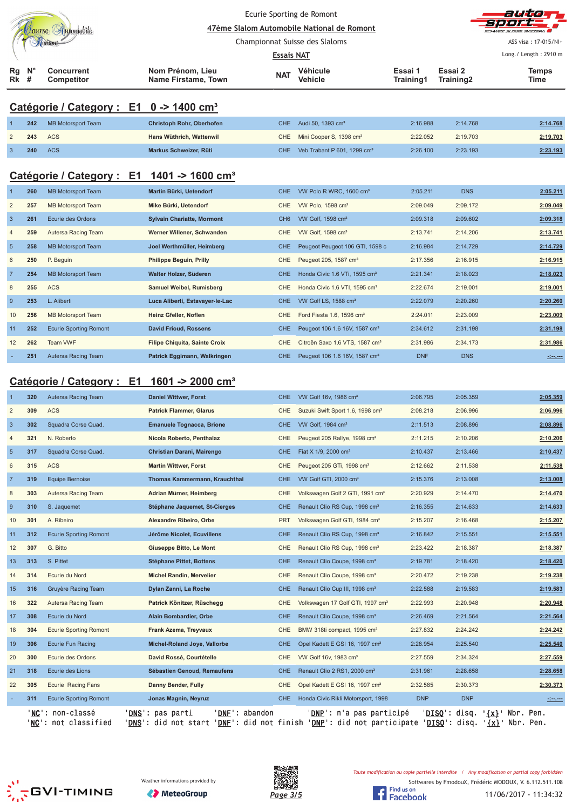|                |                           | Tourse Automobile                                      | Ecurie Sporting de Romont<br>47ème Slalom Automobile National de Romont                                                                                                                                  | auta            |                                              |                      |                        |                                                                                                                      |
|----------------|---------------------------|--------------------------------------------------------|----------------------------------------------------------------------------------------------------------------------------------------------------------------------------------------------------------|-----------------|----------------------------------------------|----------------------|------------------------|----------------------------------------------------------------------------------------------------------------------|
|                |                           |                                                        | Championnat Suisse des Slaloms                                                                                                                                                                           |                 | ASS visa: 17-015/NI+                         |                      |                        |                                                                                                                      |
|                |                           |                                                        |                                                                                                                                                                                                          | Essais NAT      |                                              |                      |                        | Long./ Length: 2910 m                                                                                                |
| Rg<br>Rk       | $N^{\circ}$<br>#          | <b>Concurrent</b><br>Competitor                        | Nom Prénom, Lieu<br><b>Name Firstame, Town</b>                                                                                                                                                           | NAT             | Véhicule<br>Vehicle                          | Essai 1<br>Training1 | Essai 2<br>Training2   | <b>Temps</b><br>Time                                                                                                 |
|                |                           | Catégorie / Category : E1 0 -> 1400 cm <sup>3</sup>    |                                                                                                                                                                                                          |                 |                                              |                      |                        |                                                                                                                      |
|                | 242                       | MB Motorsport Team                                     | Christoph Rohr, Oberhofen                                                                                                                                                                                | <b>CHE</b>      | Audi 50, 1393 cm <sup>3</sup>                | 2:16.988             | 2:14.768               | 2:14.768                                                                                                             |
| $\overline{c}$ | 243                       | <b>ACS</b>                                             | Hans Wüthrich, Wattenwil                                                                                                                                                                                 | CHE             | Mini Cooper S, 1398 cm <sup>3</sup>          | 2:22.052             | 2:19.703               | 2:19.703                                                                                                             |
| $\mathbf{3}$   | 240                       | <b>ACS</b>                                             | Markus Schweizer, Rüti                                                                                                                                                                                   | <b>CHE</b>      | Veb Trabant P 601, 1299 cm <sup>3</sup>      | 2:26.100             | 2:23.193               | 2:23.193                                                                                                             |
|                |                           | Catégorie / Category : E1 1401 -> 1600 cm <sup>3</sup> |                                                                                                                                                                                                          |                 |                                              |                      |                        |                                                                                                                      |
|                | 260                       | <b>MB Motorsport Team</b>                              | Martin Bürki, Uetendorf                                                                                                                                                                                  | <b>CHE</b>      | VW Polo R WRC, 1600 cm <sup>3</sup>          | 2:05.211             | <b>DNS</b>             | 2:05.211                                                                                                             |
| $\overline{2}$ | 257                       | <b>MB Motorsport Team</b>                              | Mike Bürki, Uetendorf                                                                                                                                                                                    | <b>CHE</b>      | VW Polo, 1598 cm <sup>3</sup>                | 2:09.049             | 2:09.172               | 2:09.049                                                                                                             |
| $\mathbf{3}$   | 261                       | Ecurie des Ordons                                      | <b>Sylvain Chariatte, Mormont</b>                                                                                                                                                                        | CH <sub>6</sub> | VW Golf, 1598 cm <sup>3</sup>                | 2:09.318             | 2:09.602               | 2:09.318                                                                                                             |
| 4              | 259                       | Autersa Racing Team                                    | Werner Willener, Schwanden                                                                                                                                                                               | <b>CHE</b>      | VW Golf, 1598 cm <sup>3</sup>                | 2:13.741             | 2:14.206               | 2:13.741                                                                                                             |
| $\overline{5}$ | 258                       | <b>MB Motorsport Team</b>                              | Joel Werthmüller, Heimberg                                                                                                                                                                               | <b>CHE</b>      | Peugeot Peugeot 106 GTI, 1598 c              | 2:16.984             | 2:14.729               | 2:14.729                                                                                                             |
| 6              | 250                       | P. Beguin                                              | <b>Philippe Beguin, Prilly</b>                                                                                                                                                                           | <b>CHE</b>      | Peugeot 205, 1587 cm <sup>3</sup>            | 2:17.356             | 2:16.915               | 2:16.915                                                                                                             |
| $\overline{7}$ | 254                       | <b>MB Motorsport Team</b>                              | Walter Holzer, Süderen                                                                                                                                                                                   | <b>CHE</b>      | Honda Civic 1.6 VTi, 1595 cm <sup>3</sup>    | 2:21.341             | 2:18.023               | 2:18.023                                                                                                             |
| 8              | 255                       | <b>ACS</b>                                             | <b>Samuel Weibel, Rumisberg</b>                                                                                                                                                                          | <b>CHE</b>      | Honda Civic 1.6 VTI, 1595 cm <sup>3</sup>    | 2:22.674             | 2:19.001               | 2:19.001                                                                                                             |
| $\overline{9}$ | 253                       | L. Aliberti                                            | Luca Aliberti, Estavayer-le-Lac                                                                                                                                                                          | <b>CHE</b>      | VW Golf LS, 1588 cm <sup>3</sup>             | 2:22.079             | 2:20.260               | 2:20.260                                                                                                             |
| 10             | 256                       | <b>MB Motorsport Team</b>                              | Heinz Gfeller, Noflen                                                                                                                                                                                    | <b>CHE</b>      | Ford Fiesta 1.6, 1596 cm <sup>3</sup>        | 2:24.011             | 2:23.009               | 2:23.009                                                                                                             |
| 11             | 252                       | <b>Ecurie Sporting Romont</b>                          | <b>David Frioud, Rossens</b>                                                                                                                                                                             | <b>CHE</b>      | Peugeot 106 1.6 16V, 1587 cm <sup>3</sup>    | 2:34.612             | 2:31.198               | 2:31.198                                                                                                             |
| 12             | 262                       | Team VWF                                               | <b>Filipe Chiquita, Sainte Croix</b>                                                                                                                                                                     | <b>CHE</b>      | Citroën Saxo 1.6 VTS, 1587 cm <sup>3</sup>   | 2:31.986             | 2:34.173               | 2:31.986                                                                                                             |
|                | 251                       | Autersa Racing Team                                    | Patrick Eggimann, Walkringen                                                                                                                                                                             | <b>CHE</b>      | Peugeot 106 1.6 16V, 1587 cm <sup>3</sup>    | <b>DNF</b>           | <b>DNS</b>             | <u> - 1000 - 1000 - 1000 - 1000 - 1000 - 1000 - 1000 - 1000 - 1000 - 1000 - 1000 - 1000 - 1000 - 1000 - 1000 - 1</u> |
|                | Catégorie / Category : E1 |                                                        | 1601 -> 2000 cm <sup>3</sup>                                                                                                                                                                             |                 |                                              |                      |                        |                                                                                                                      |
|                | 320                       | Autersa Racing Team                                    | <b>Daniel Wittwer, Forst</b>                                                                                                                                                                             | <b>CHE</b>      | VW Golf 16v, 1986 cm <sup>3</sup>            | 2:06.795             | 2:05.359               | 2:05.359                                                                                                             |
| $\overline{2}$ | 309                       | <b>ACS</b>                                             | <b>Patrick Flammer, Glarus</b>                                                                                                                                                                           | CHE             | Suzuki Swift Sport 1.6, 1998 cm <sup>3</sup> | 2:08.218             | 2:06.996               | 2:06.996                                                                                                             |
| $\overline{3}$ | 302                       | Squadra Corse Quad.                                    | <b>Emanuele Tognacca, Brione</b>                                                                                                                                                                         | <b>CHE</b>      | VW Golf, 1984 cm <sup>3</sup>                | 2:11.513             | 2:08.896               | 2:08.896                                                                                                             |
|                | 321                       | N. Roberto                                             | Nicola Roberto, Penthalaz                                                                                                                                                                                | CHE             | Peugeot 205 Rallye, 1998 cm <sup>3</sup>     | 2:11.215             | 2:10.206               | 2:10.206                                                                                                             |
| $\overline{5}$ | 317                       | Squadra Corse Quad.                                    | Christian Darani, Mairengo                                                                                                                                                                               | <b>CHE</b>      | Fiat X 1/9, 2000 cm <sup>3</sup>             | 2:10.437             | 2:13.466               | 2:10.437                                                                                                             |
| 6              | 315                       | <b>ACS</b>                                             | <b>Martin Wittwer, Forst</b>                                                                                                                                                                             | CHE             | Peugeot 205 GTi, 1998 cm <sup>3</sup>        | 2:12.662             | 2:11.538               | 2:11.538                                                                                                             |
| $\overline{7}$ | 319                       | <b>Equipe Bernoise</b>                                 | Thomas Kammermann, Krauchthal                                                                                                                                                                            | <b>CHE</b>      | VW Golf GTI, 2000 cm <sup>3</sup>            | 2:15.376             | 2:13.008               | 2:13.008                                                                                                             |
| 8              | 303                       | Autersa Racing Team                                    | Adrian Mürner, Heimberg                                                                                                                                                                                  | <b>CHE</b>      | Volkswagen Golf 2 GTI, 1991 cm <sup>3</sup>  | 2:20.929             | 2:14.470               | 2:14.470                                                                                                             |
| 9              | 310                       | S. Jaquemet                                            | Stéphane Jaquemet, St-Cierges                                                                                                                                                                            | <b>CHE</b>      | Renault Clio RS Cup, 1998 cm <sup>3</sup>    | 2:16.355             | 2:14.633               | 2:14.633                                                                                                             |
| 10             | 301                       | A. Ribeiro                                             | Alexandre Ribeiro, Orbe                                                                                                                                                                                  | <b>PRT</b>      | Volkswagen Golf GTI, 1984 cm <sup>3</sup>    | 2:15.207             | 2:16.468               | 2:15.207                                                                                                             |
| 11             | 312                       | <b>Ecurie Sporting Romont</b>                          | Jérôme Nicolet, Ecuvillens                                                                                                                                                                               | <b>CHE</b>      | Renault Clio RS Cup, 1998 cm <sup>3</sup>    | 2:16.842             | 2:15.551               | 2:15.551                                                                                                             |
| 12             | 307                       | G. Bitto                                               | Giuseppe Bitto, Le Mont                                                                                                                                                                                  | CHE             | Renault Clio RS Cup, 1998 cm <sup>3</sup>    | 2:23.422             | 2:18.387               | 2:18.387                                                                                                             |
| 13             | 313                       | S. Pittet                                              | <b>Stéphane Pittet, Bottens</b>                                                                                                                                                                          | <b>CHE</b>      | Renault Clio Coupe, 1998 cm <sup>3</sup>     | 2:19.781             | 2:18.420               | 2:18.420                                                                                                             |
| 14             | 314                       | Ecurie du Nord                                         | <b>Michel Randin, Mervelier</b>                                                                                                                                                                          | CHE             | Renault Clio Coupe, 1998 cm <sup>3</sup>     | 2:20.472             | 2:19.238               | 2:19.238                                                                                                             |
| 15             | 316                       | Gruyère Racing Team                                    | Dylan Zanni, La Roche                                                                                                                                                                                    | CHE             | Renault Clio Cup III, 1998 cm <sup>3</sup>   | 2:22.588             | 2:19.583               | 2:19.583                                                                                                             |
| 16             | 322                       | Autersa Racing Team                                    | Patrick Könitzer, Rüschegg                                                                                                                                                                               | CHE             | Volkswagen 17 Golf GTI, 1997 cm <sup>3</sup> | 2:22.993             | 2:20.948               | 2:20.948                                                                                                             |
| 17             | 308                       | Ecurie du Nord                                         | Alain Bombardier, Orbe                                                                                                                                                                                   | <b>CHE</b>      | Renault Clio Coupe, 1998 cm <sup>3</sup>     | 2:26.469             | 2:21.564               | 2:21.564                                                                                                             |
| 18             | 304                       | <b>Ecurie Sporting Romont</b>                          | Frank Azema, Treyvaux                                                                                                                                                                                    | <b>CHE</b>      | BMW 318ti compact, 1995 cm <sup>3</sup>      | 2:27.832             | 2:24.242               | 2:24.242                                                                                                             |
| 19             | 306                       | Ecurie Fun Racing                                      | Michel-Roland Joye, Vallorbe                                                                                                                                                                             | <b>CHE</b>      | Opel Kadett E GSI 16, 1997 cm <sup>3</sup>   | 2:28.954             | 2:25.540               | 2:25.540                                                                                                             |
| 20             | 300                       | Ecurie des Ordons                                      | David Rossé, Courtételle                                                                                                                                                                                 | <b>CHE</b>      | VW Golf 16v, 1983 cm <sup>3</sup>            | 2:27.559             | 2:34.324               | 2:27.559                                                                                                             |
| 21             | 318                       | Ecurie des Lions                                       | Sébastien Genoud, Remaufens                                                                                                                                                                              | <b>CHE</b>      | Renault Clio 2 RS1, 2000 cm <sup>3</sup>     | 2:31.961             | 2:28.658               | 2:28.658                                                                                                             |
| 22             | 305                       | Ecurie Racing Fans                                     | Danny Bender, Fully                                                                                                                                                                                      | CHE             | Opel Kadett E GSI 16, 1997 cm <sup>3</sup>   | 2:32.585             | 2:30.373               | 2:30.373                                                                                                             |
|                | 311                       | <b>Ecurie Sporting Romont</b>                          | Jonas Magnin, Neyruz                                                                                                                                                                                     | CHE.            | Honda Civic Rikli Motorsport, 1998           | <b>DNP</b>           | <b>DNP</b>             |                                                                                                                      |
|                |                           | 'NC': non-classé<br>'NC': not classified               | ' <u>DNS</u> ': pas parti<br>' <u>DNF</u> ': abandon<br>' <u>DNS</u> ': did not start ' <u>DNF</u> ': did not finish ' <u>DNP</u> ': did not participate ' <u>DISQ</u> ': disq. ' <u>{x}</u> ' Nbr. Pen. |                 | ' <u>DNP</u> ': n'a pas participé            |                      | ' <u>DISQ</u> ': disq. | ' <u>{x}</u> ' Nbr. Pen.                                                                                             |





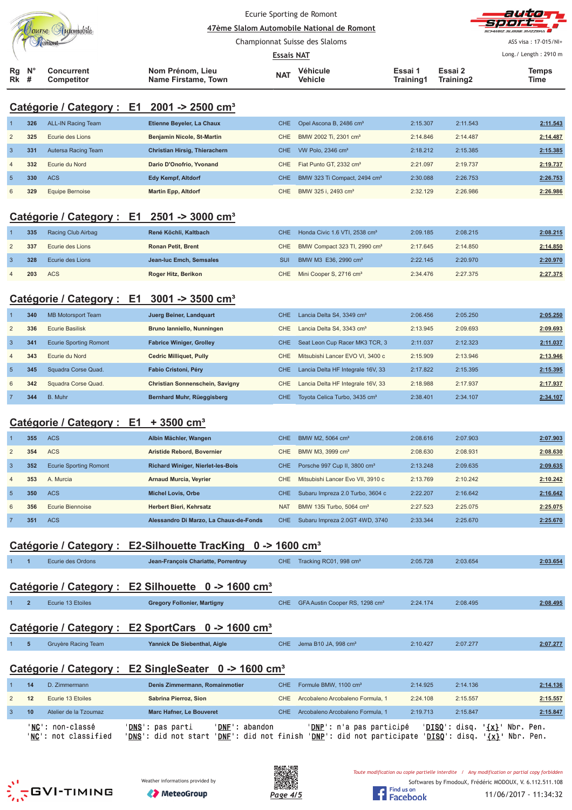|                   |                |                               |  |                                                                                                     |                   | Ecurie Sporting de Romont                  |                      |           | auto                                                                                         |  |  |
|-------------------|----------------|-------------------------------|--|-----------------------------------------------------------------------------------------------------|-------------------|--------------------------------------------|----------------------|-----------|----------------------------------------------------------------------------------------------|--|--|
| Jourse Automobile |                |                               |  |                                                                                                     |                   | 47ème Slalom Automobile National de Romont |                      |           |                                                                                              |  |  |
|                   | Tomont         |                               |  |                                                                                                     |                   | Championnat Suisse des Slaloms             | ASS visa: 17-015/NI+ |           |                                                                                              |  |  |
|                   |                |                               |  |                                                                                                     | <b>Essais NAT</b> |                                            |                      |           | Long./ Length: 2910 m                                                                        |  |  |
| Rg                | N <sub>c</sub> | <b>Concurrent</b>             |  | Nom Prénom, Lieu                                                                                    |                   | Véhicule                                   | Essai 1              | Essai 2   | <b>Temps</b>                                                                                 |  |  |
| Rk                | #              | <b>Competitor</b>             |  | <b>Name Firstame, Town</b>                                                                          | <b>NAT</b>        | Vehicle                                    | Training1            | Training2 | Time                                                                                         |  |  |
|                   |                |                               |  |                                                                                                     |                   |                                            |                      |           |                                                                                              |  |  |
|                   |                | Catégorie / Category : E1     |  | $2001 - 2500$ cm <sup>3</sup>                                                                       |                   |                                            |                      |           |                                                                                              |  |  |
|                   | 326            | <b>ALL-IN Racing Team</b>     |  | Etienne Beyeler, La Chaux                                                                           | <b>CHE</b>        | Opel Ascona B, 2486 cm <sup>3</sup>        | 2:15.307             | 2:11.543  | 2:11.543                                                                                     |  |  |
| $\overline{c}$    | 325            | Ecurie des Lions              |  | Benjamin Nicole, St-Martin                                                                          | CHE               | BMW 2002 Ti, 2301 cm <sup>3</sup>          | 2:14.846             | 2:14.487  | 2:14.487                                                                                     |  |  |
| $\mathbf{3}$      | 331            | Autersa Racing Team           |  | Christian Hirsig, Thierachern                                                                       | <b>CHE</b>        | VW Polo, 2346 cm <sup>3</sup>              | 2:18.212             | 2:15.385  | 2:15.385                                                                                     |  |  |
| $\overline{4}$    | 332            | Ecurie du Nord                |  | Dario D'Onofrio, Yvonand                                                                            | <b>CHE</b>        | Fiat Punto GT, 2332 cm <sup>3</sup>        | 2:21.097             | 2:19.737  | 2:19.737                                                                                     |  |  |
| $\sqrt{5}$        | 330            | <b>ACS</b>                    |  | <b>Edy Kempf, Altdorf</b>                                                                           | <b>CHE</b>        | BMW 323 Ti Compact, 2494 cm <sup>3</sup>   | 2:30.088             | 2:26.753  | 2:26.753                                                                                     |  |  |
| 6                 | 329            | <b>Equipe Bernoise</b>        |  | <b>Martin Epp, Altdorf</b>                                                                          | <b>CHE</b>        | BMW 325 i, 2493 cm <sup>3</sup>            | 2:32.129             | 2:26.986  | 2:26.986                                                                                     |  |  |
|                   |                |                               |  | Catégorie / Category : E1 2501 -> 3000 cm <sup>3</sup>                                              |                   |                                            |                      |           |                                                                                              |  |  |
|                   | 335            | Racing Club Airbag            |  | René Köchli, Kaltbach                                                                               | <b>CHE</b>        | Honda Civic 1.6 VTI, 2538 cm <sup>3</sup>  | 2:09.185             | 2:08.215  | 2:08.215                                                                                     |  |  |
| $\overline{c}$    | 337            | Ecurie des Lions              |  | <b>Ronan Petit, Brent</b>                                                                           | CHE               | BMW Compact 323 TI, 2990 cm <sup>3</sup>   | 2:17.645             | 2:14.850  | 2:14.850                                                                                     |  |  |
| 3                 | 328            | Ecurie des Lions              |  | Jean-luc Emch, Semsales                                                                             | <b>SUI</b>        | BMW M3 E36, 2990 cm <sup>3</sup>           | 2:22.145             | 2:20.970  | 2:20.970                                                                                     |  |  |
| $\overline{4}$    | 203            | <b>ACS</b>                    |  | Roger Hitz, Berikon                                                                                 | <b>CHE</b>        | Mini Cooper S, 2716 cm <sup>3</sup>        | 2:34.476             | 2:27.375  | 2:27.375                                                                                     |  |  |
|                   |                |                               |  |                                                                                                     |                   |                                            |                      |           |                                                                                              |  |  |
|                   |                |                               |  | Catégorie / Category : E1 3001 -> 3500 cm <sup>3</sup>                                              |                   |                                            |                      |           |                                                                                              |  |  |
| 1                 | 340            | <b>MB Motorsport Team</b>     |  | Juerg Beiner, Landquart                                                                             | <b>CHE</b>        | Lancia Delta S4, 3349 cm <sup>3</sup>      | 2:06.456             | 2:05.250  | 2:05.250                                                                                     |  |  |
| $\overline{c}$    | 336            | <b>Ecurie Basilisk</b>        |  | Bruno lanniello, Nunningen                                                                          | <b>CHE</b>        | Lancia Delta S4, 3343 cm <sup>3</sup>      | 2:13.945             | 2:09.693  | 2:09.693                                                                                     |  |  |
| $\overline{3}$    | 341            | <b>Ecurie Sporting Romont</b> |  | <b>Fabrice Winiger, Grolley</b>                                                                     | <b>CHE</b>        | Seat Leon Cup Racer MK3 TCR, 3             | 2:11.037             | 2:12.323  | 2:11.037                                                                                     |  |  |
| $\overline{4}$    | 343            | Ecurie du Nord                |  | <b>Cedric Milliquet, Pully</b>                                                                      | CHE               | Mitsubishi Lancer EVO VI, 3400 c           | 2:15.909             | 2:13.946  | 2:13.946                                                                                     |  |  |
| $\sqrt{5}$        | 345            | Squadra Corse Quad.           |  | Fabio Cristoni, Péry                                                                                | <b>CHE</b>        | Lancia Delta HF Integrale 16V, 33          | 2:17.822             | 2:15.395  | 2:15.395                                                                                     |  |  |
| 6                 | 342            | Squadra Corse Quad.           |  | Christian Sonnenschein, Savigny                                                                     | <b>CHE</b>        | Lancia Delta HF Integrale 16V, 33          | 2:18.988             | 2:17.937  | 2:17.937                                                                                     |  |  |
| $\overline{7}$    | 344            | B. Muhr                       |  | Bernhard Muhr, Rüeggisberg                                                                          | <b>CHE</b>        | Toyota Celica Turbo, 3435 cm <sup>3</sup>  | 2:38.401             | 2:34.107  | 2:34.107                                                                                     |  |  |
|                   |                |                               |  |                                                                                                     |                   |                                            |                      |           |                                                                                              |  |  |
|                   |                | Catégorie / Category : E1     |  | $+3500$ cm <sup>3</sup>                                                                             |                   |                                            |                      |           |                                                                                              |  |  |
|                   | 355            | <b>ACS</b>                    |  | Albin Mächler, Wangen                                                                               | CHE               | BMW M2, 5064 cm <sup>3</sup>               | 2:08.616             | 2:07.903  | 2:07.903                                                                                     |  |  |
| 2                 | 354            | <b>ACS</b>                    |  | Aristide Rebord, Bovernier                                                                          | <b>CHE</b>        | BMW M3, 3999 cm <sup>3</sup>               | 2:08.630             | 2:08.931  | 2:08.630                                                                                     |  |  |
| $\mathbf{3}$      | 352            | <b>Ecurie Sporting Romont</b> |  | <b>Richard Winiger, Nierlet-les-Bois</b>                                                            | CHE               | Porsche 997 Cup II, 3800 cm <sup>3</sup>   | 2:13.248             | 2:09.635  | 2:09.635                                                                                     |  |  |
| $\overline{4}$    | 353            | A. Murcia                     |  | <b>Arnaud Murcia, Veyrier</b>                                                                       | <b>CHE</b>        | Mitsubishi Lancer Evo VII, 3910 c          | 2:13.769             | 2:10.242  | 2:10.242                                                                                     |  |  |
| $\overline{5}$    | 350            | <b>ACS</b>                    |  | <b>Michel Lovis, Orbe</b>                                                                           | <b>CHE</b>        | Subaru Impreza 2.0 Turbo, 3604 c           | 2:22.207             | 2:16.642  | 2:16.642                                                                                     |  |  |
| 6                 | 356            | <b>Ecurie Biennoise</b>       |  | Herbert Bieri, Kehrsatz                                                                             | <b>NAT</b>        | BMW 135i Turbo, 5064 cm <sup>3</sup>       | 2:27.523             | 2:25.075  | 2:25.075                                                                                     |  |  |
| $\overline{7}$    | 351            | <b>ACS</b>                    |  | Alessandro Di Marzo, La Chaux-de-Fonds                                                              | <b>CHE</b>        | Subaru Impreza 2.0GT 4WD, 3740             | 2:33.344             | 2:25.670  | 2:25.670                                                                                     |  |  |
|                   |                |                               |  |                                                                                                     |                   |                                            |                      |           |                                                                                              |  |  |
|                   |                |                               |  | Catégorie / Category : E2-Silhouette TracKing 0 -> 1600 cm <sup>3</sup>                             |                   |                                            |                      |           |                                                                                              |  |  |
|                   | 1              | Ecurie des Ordons             |  | Jean-François Chariatte, Porrentruy                                                                 |                   | CHE Tracking RC01, 998 cm <sup>3</sup>     | 2:05.728             | 2:03.654  | 2:03.654                                                                                     |  |  |
|                   |                |                               |  |                                                                                                     |                   |                                            |                      |           |                                                                                              |  |  |
|                   |                |                               |  | Catégorie / Category : E2 Silhouette 0 -> 1600 cm <sup>3</sup>                                      |                   |                                            |                      |           |                                                                                              |  |  |
|                   | $\overline{2}$ | Ecurie 13 Etoiles             |  | <b>Gregory Follonier, Martigny</b>                                                                  | <b>CHE</b>        | GFA Austin Cooper RS, 1298 cm <sup>3</sup> | 2:24.174             | 2:08.495  | 2:08.495                                                                                     |  |  |
|                   |                |                               |  |                                                                                                     |                   |                                            |                      |           |                                                                                              |  |  |
|                   |                |                               |  | Catégorie / Category : E2 SportCars 0 -> 1600 cm <sup>3</sup>                                       |                   |                                            |                      |           |                                                                                              |  |  |
|                   | 5              | Gruyère Racing Team           |  | Yannick De Siebenthal, Aigle                                                                        | CHE               | Jema B10 JA, 998 cm <sup>3</sup>           | 2:10.427             | 2:07.277  | 2:07.277                                                                                     |  |  |
|                   |                |                               |  |                                                                                                     |                   |                                            |                      |           |                                                                                              |  |  |
|                   |                |                               |  | Catégorie / Category : E2 SingleSeater 0 -> 1600 cm <sup>3</sup>                                    |                   |                                            |                      |           |                                                                                              |  |  |
|                   | 14             | D. Zimmermann                 |  | Denis Zimmermann, Romainmotier                                                                      | CHE               | Formule BMW, 1100 cm <sup>3</sup>          | 2:14.925             | 2:14.136  | 2:14.136                                                                                     |  |  |
| $\overline{c}$    | 12             | Ecurie 13 Etoiles             |  | Sabrina Pierroz, Sion                                                                               | CHE               | Arcobaleno Arcobaleno Formula, 1           | 2:24.108             | 2:15.557  | 2:15.557                                                                                     |  |  |
| $\mathbf{3}$      | 10             | Atelier de la Tzoumaz         |  | <b>Marc Hafner, Le Bouveret</b>                                                                     | CHE.              | Arcobaleno Arcobaleno Formula, 1           | 2:19.713             | 2:15.847  | 2:15.847                                                                                     |  |  |
|                   |                | ' <b>NC</b> ': non-classé     |  | 'DNE': abandon<br>' <u>DNS</u> ': pas parti                                                         |                   | ' <u>DNP</u> ': n'a pas participé          |                      |           | ' <u>DISQ</u> ': disq. ' <u>{x}</u> ' Nbr. Pen.                                              |  |  |
|                   |                | 'NC': not classified          |  | 'DNS': did not start 'DNF': did not finish 'DNP': did not participate 'DISQ': disq. '{x}' Nbr. Pen. |                   |                                            |                      |           |                                                                                              |  |  |
|                   |                |                               |  |                                                                                                     |                   |                                            |                      |           |                                                                                              |  |  |
|                   |                |                               |  |                                                                                                     | 画版<br>後数数:        |                                            |                      |           | Toute modification ou copie partielle interdite / Any modification or partial copy forbidden |  |  |





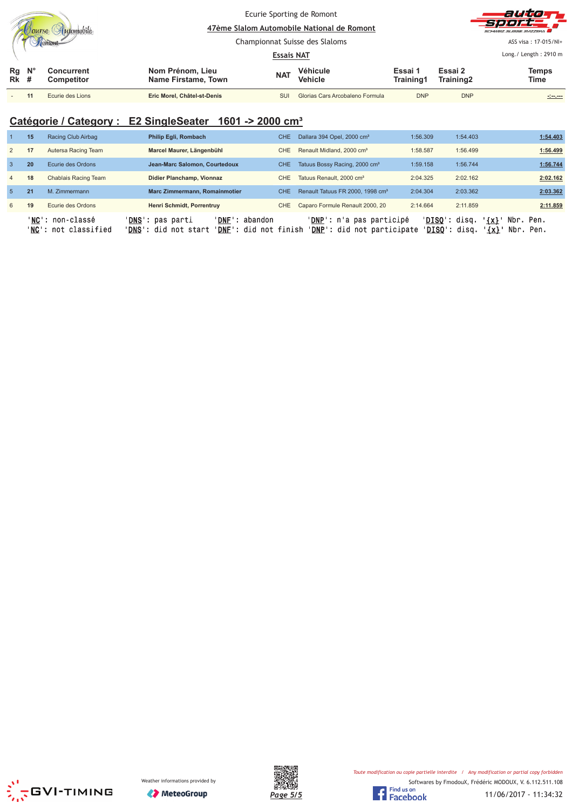|                   |             |                          |                                         | Ecurie Sporting de Romont<br>47ème Slalom Automobile National de Romont |                                 |                      |                      | autom<br><b>Sport</b><br>SCHWEIZ SUISSE SVIZZEDA |  |
|-------------------|-------------|--------------------------|-----------------------------------------|-------------------------------------------------------------------------|---------------------------------|----------------------|----------------------|--------------------------------------------------|--|
|                   |             |                          |                                         |                                                                         | Championnat Suisse des Slaloms  | ASS visa: 17-015/NI+ |                      |                                                  |  |
|                   |             |                          |                                         | <b>Essais NAT</b>                                                       |                                 |                      |                      | Long. / Length: $2910 \text{ m}$                 |  |
| Rg<br><b>Rk</b> # | $N^{\circ}$ | Concurrent<br>Competitor | Nom Prénom, Lieu<br>Name Firstame, Town | <b>NAT</b>                                                              | Véhicule<br><b>Vehicle</b>      | Essai 1<br>Training1 | Essai 2<br>Training2 | Temps<br>Time                                    |  |
|                   |             | Ecurie des Lions         | Eric Morel, Châtel-st-Denis             | SUI                                                                     | Glorias Cars Arcobaleno Formula | <b>DNP</b>           | <b>DNP</b>           | $-1 - 1 - 1 - 1 - 1 = 0$                         |  |

## **Catégorie / Category : E2 SingleSeater 1601 -> 2000 cm³**

|                | 15 | Racing Club Airbag                               | <b>Philip Egli, Rombach</b>                                                                                             | CHE. | Dallara 394 Opel, 2000 cm <sup>3</sup>                 | 1:56.309                         | 1:54.403           | 1:54.403               |
|----------------|----|--------------------------------------------------|-------------------------------------------------------------------------------------------------------------------------|------|--------------------------------------------------------|----------------------------------|--------------------|------------------------|
| $\overline{2}$ | 17 | Autersa Racing Team                              | Marcel Maurer, Längenbühl                                                                                               | CHE. | Renault Midland, 2000 cm <sup>3</sup>                  | 1:58.587                         | 1:56.499           | 1:56.499               |
| $\mathbf{3}$   | 20 | Ecurie des Ordons                                | Jean-Marc Salomon, Courtedoux                                                                                           | CHE. | Tatuus Bossy Racing, 2000 cm <sup>3</sup>              | 1:59.158                         | 1:56.744           | 1:56.744               |
| $\overline{4}$ | 18 | Chablais Racing Team                             | Didier Planchamp, Vionnaz                                                                                               | CHE. | Tatuus Renault, 2000 cm <sup>3</sup>                   | 2:04.325                         | 2:02.162           | 2:02.162               |
| $-5$           | 21 | M. Zimmermann                                    | Marc Zimmermann, Romainmotier                                                                                           | CHE. | Renault Tatuus FR 2000, 1998 cm <sup>3</sup>           | 2:04.304                         | 2:03.362           | 2:03.362               |
| 6              | 19 | Ecurie des Ordons                                | Henri Schmidt, Porrentruv                                                                                               | CHE  | Caparo Formule Renault 2000, 20                        | 2:14.664                         | 2:11.859           | 2:11.859               |
|                |    | ' <b>NC':</b> non-classé<br>'NC': not classified | ' <b>DNS</b> ': pas parti<br>' <b>DNF</b> ': abandon<br>' <b>DNS</b> ': did not start<br>' <b>DNF</b> ': did not finish |      | 'DNP': n'a pas participé<br>'DNP': did not participate | $'DISO':$ disq.<br>'DISO': disq. | $\{x\}$<br>$\{x\}$ | Nbr. Pen.<br>Nbr. Pen. |